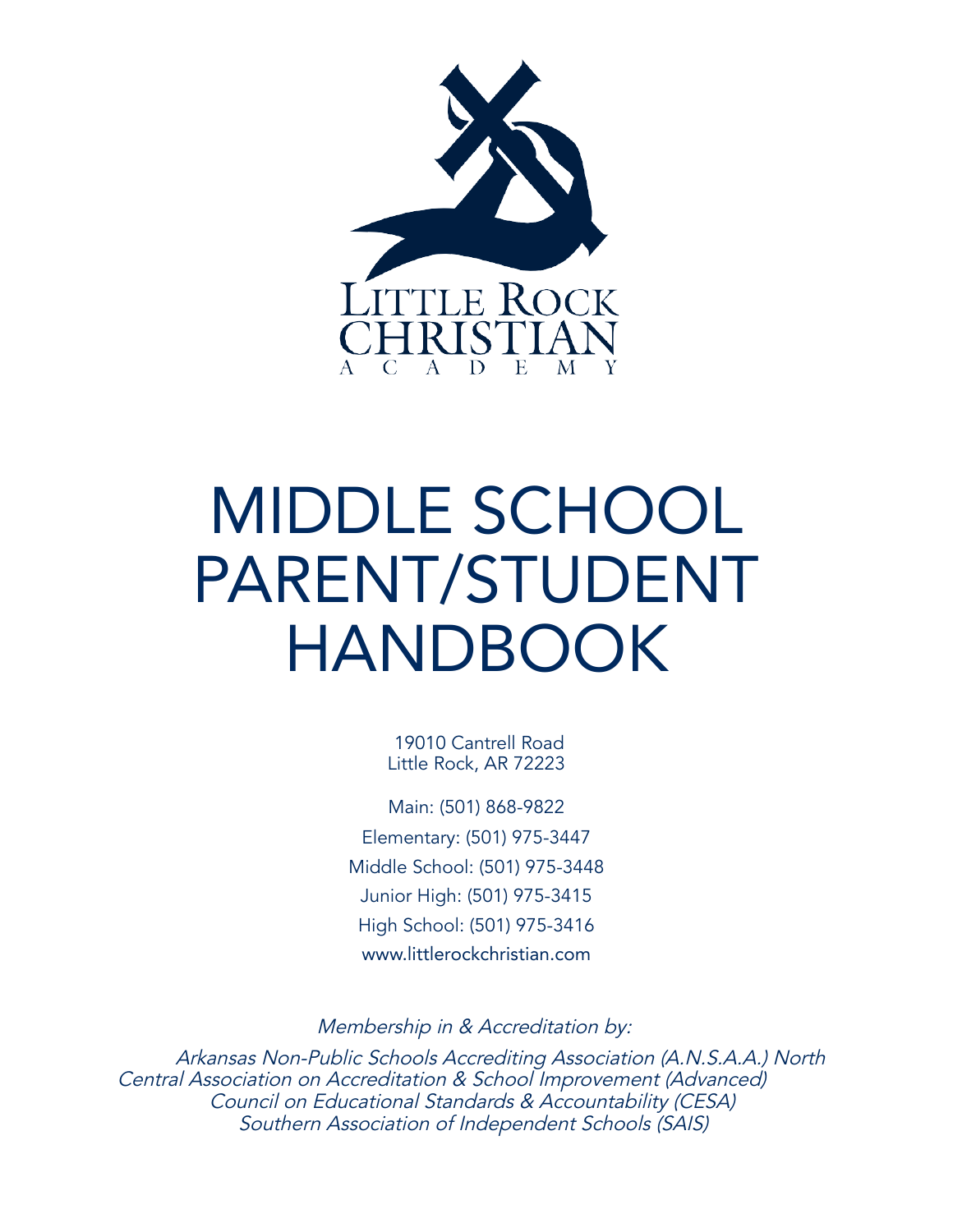

# MIDDLE SCHOOL PARENT/STUDENT HANDBOOK

19010 Cantrell Road Little Rock, AR 72223

Main: (501) 868-9822 Elementary: (501) 975-3447 Middle School: (501) 975-3448 Junior High: (501) 975-3415 High School: (501) 975-3416 [www.littlerockchristian.com](http://www.littlerockchristian.com/)

Membership in & Accreditation by:

Arkansas Non-Public Schools Accrediting Association (A.N.S.A.A.) North Central Association on Accreditation & School Improvement (Advanced) Council on Educational Standards & Accountability (CESA) Southern Association of Independent Schools (SAIS)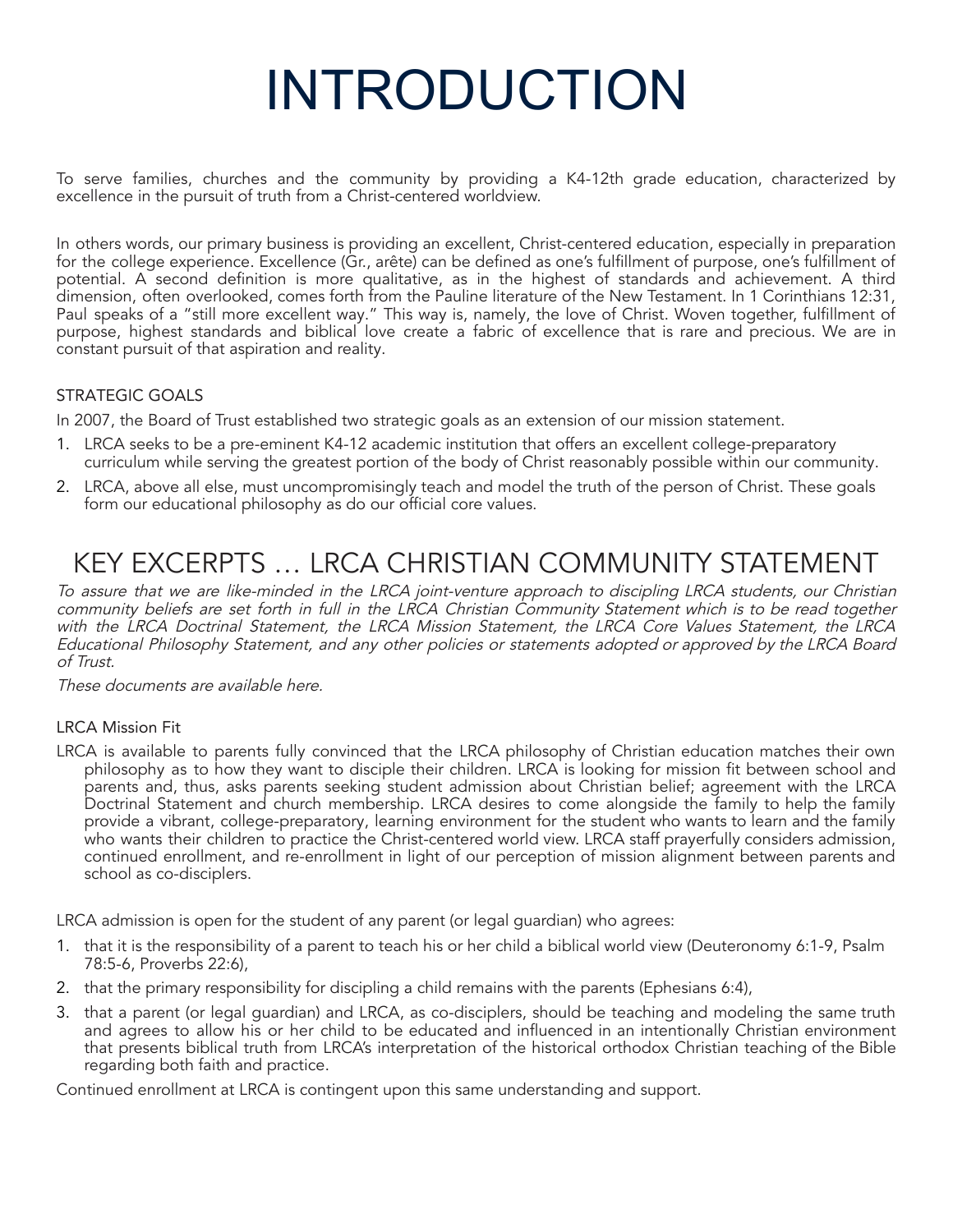# INTRODUCTION

To serve families, churches and the community by providing a K4-12th grade education, characterized by excellence in the pursuit of truth from a Christ-centered worldview.

In others words, our primary business is providing an excellent, Christ-centered education, especially in preparation for the college experience. Excellence (Gr., arête) can be defined as one's fulfillment of purpose, one's fulfillment of potential. A second definition is more qualitative, as in the highest of standards and achievement. A third dimension, often overlooked, comes forth from the Pauline literature of the New Testament. In 1 Corinthians 12:31, Paul speaks of a "still more excellent way." This way is, namely, the love of Christ. Woven together, fulfillment of purpose, highest standards and biblical love create a fabric of excellence that is rare and precious. We are in constant pursuit of that aspiration and reality.

# STRATEGIC GOALS

In 2007, the Board of Trust established two strategic goals as an extension of our mission statement.

- 1. LRCA seeks to be a pre-eminent K4-12 academic institution that offers an excellent college-preparatory curriculum while serving the greatest portion of the body of Christ reasonably possible within our community.
- 2. LRCA, above all else, must uncompromisingly teach and model the truth of the person of Christ. These goals form our educational philosophy as do our official core values.

# KEY EXCERPTS … LRCA CHRISTIAN COMMUNITY STATEMENT

To assure that we are like-minded in the LRCA joint-venture approach to discipling LRCA students, our Christian community beliefs are set forth in full in the LRCA Christian Community Statement which is to be read together with the LRCA Doctrinal Statement, the LRCA Mission Statement, the LRCA Core Values Statement, the LRCA Educational Philosophy Statement, and any other policies or statements adopted or approved by the LRCA Board of Trust.

These documents are available here.

#### LRCA Mission Fit

LRCA is available to parents fully convinced that the LRCA philosophy of Christian education matches their own philosophy as to how they want to disciple their children. LRCA is looking for mission fit between school and parents and, thus, asks parents seeking student admission about Christian belief; agreement with the LRCA Doctrinal Statement and church membership. LRCA desires to come alongside the family to help the family provide a vibrant, college-preparatory, learning environment for the student who wants to learn and the family who wants their children to practice the Christ-centered world view. LRCA staff prayerfully considers admission, continued enrollment, and re-enrollment in light of our perception of mission alignment between parents and school as co-disciplers.

LRCA admission is open for the student of any parent (or legal guardian) who agrees:

- 1. that it is the responsibility of a parent to teach his or her child a biblical world view (Deuteronomy 6:1-9, Psalm 78:5-6, Proverbs 22:6),
- 2. that the primary responsibility for discipling a child remains with the parents (Ephesians 6:4),
- 3. that a parent (or legal guardian) and LRCA, as co-disciplers, should be teaching and modeling the same truth and agrees to allow his or her child to be educated and influenced in an intentionally Christian environment that presents biblical truth from LRCA's interpretation of the historical orthodox Christian teaching of the Bible regarding both faith and practice.

Continued enrollment at LRCA is contingent upon this same understanding and support.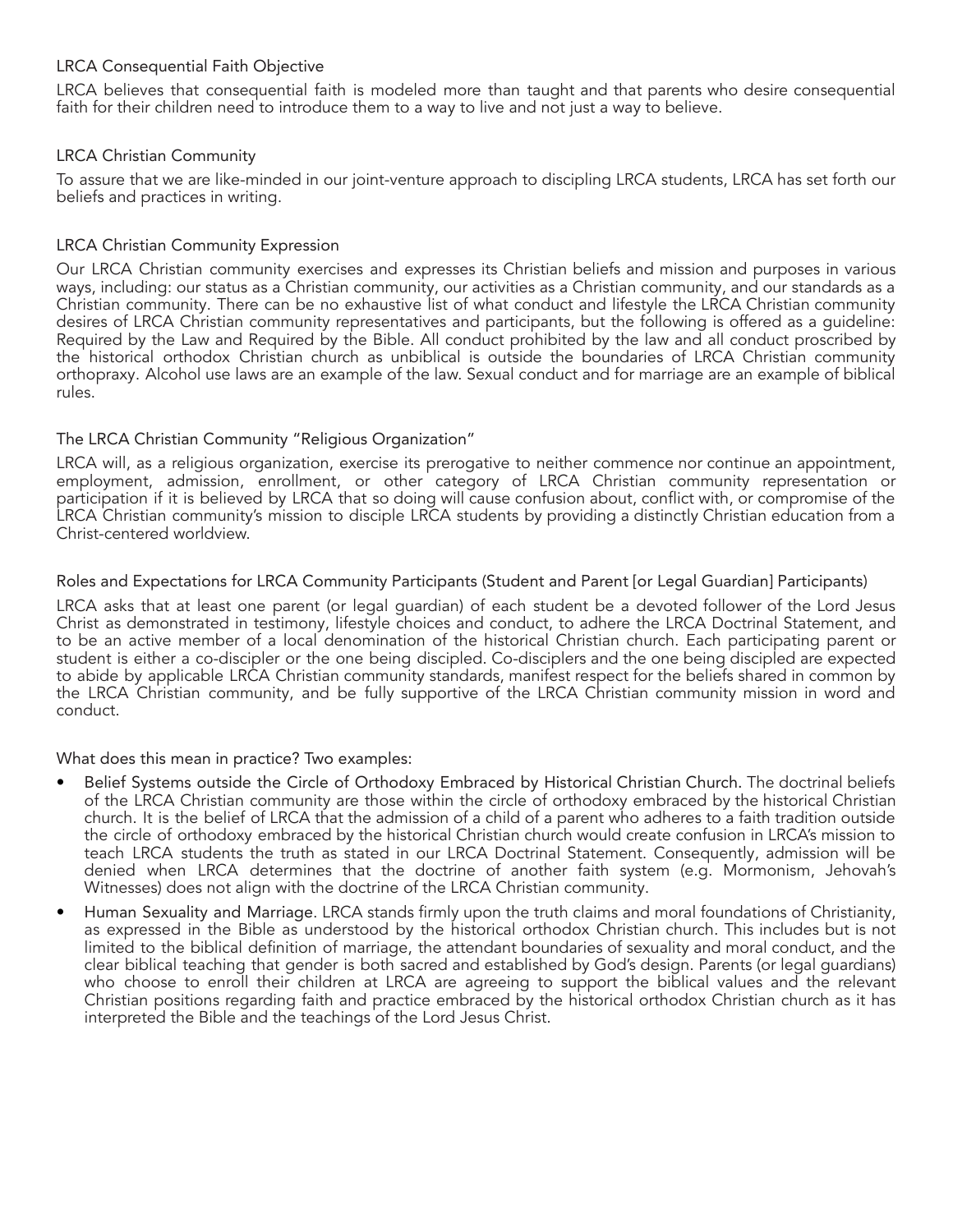#### LRCA Consequential Faith Objective

LRCA believes that consequential faith is modeled more than taught and that parents who desire consequential faith for their children need to introduce them to a way to live and not just a way to believe.

#### LRCA Christian Community

To assure that we are like-minded in our joint-venture approach to discipling LRCA students, LRCA has set forth our beliefs and practices in writing.

#### LRCA Christian Community Expression

Our LRCA Christian community exercises and expresses its Christian beliefs and mission and purposes in various ways, including: our status as a Christian community, our activities as a Christian community, and our standards as a Christian community. There can be no exhaustive list of what conduct and lifestyle the LRCA Christian community desires of LRCA Christian community representatives and participants, but the following is offered as a guideline: Required by the Law and Required by the Bible. All conduct prohibited by the law and all conduct proscribed by the historical orthodox Christian church as unbiblical is outside the boundaries of LRCA Christian community orthopraxy. Alcohol use laws are an example of the law. Sexual conduct and for marriage are an example of biblical rules.

#### The LRCA Christian Community "Religious Organization"

LRCA will, as a religious organization, exercise its prerogative to neither commence nor continue an appointment, employment, admission, enrollment, or other category of LRCA Christian community representation or participation if it is believed by LRCA that so doing will cause confusion about, conflict with, or compromise of the LRCA Christian community's mission to disciple LRCA students by providing a distinctly Christian education from a Christ-centered worldview.

#### Roles and Expectations for LRCA Community Participants (Student and Parent [or Legal Guardian] Participants)

LRCA asks that at least one parent (or legal guardian) of each student be a devoted follower of the Lord Jesus Christ as demonstrated in testimony, lifestyle choices and conduct, to adhere the LRCA Doctrinal Statement, and to be an active member of a local denomination of the historical Christian church. Each participating parent or student is either a co-discipler or the one being discipled. Co-disciplers and the one being discipled are expected to abide by applicable LRCA Christian community standards, manifest respect for the beliefs shared in common by the LRCA Christian community, and be fully supportive of the LRCA Christian community mission in word and conduct.

What does this mean in practice? Two examples:

- Belief Systems outside the Circle of Orthodoxy Embraced by Historical Christian Church. The doctrinal beliefs of the LRCA Christian community are those within the circle of orthodoxy embraced by the historical Christian church. It is the belief of LRCA that the admission of a child of a parent who adheres to a faith tradition outside the circle of orthodoxy embraced by the historical Christian church would create confusion in LRCA's mission to teach LRCA students the truth as stated in our LRCA Doctrinal Statement. Consequently, admission will be denied when LRCA determines that the doctrine of another faith system (e.g. Mormonism, Jehovah's Witnesses) does not align with the doctrine of the LRCA Christian community.
- Human Sexuality and Marriage. LRCA stands firmly upon the truth claims and moral foundations of Christianity, as expressed in the Bible as understood by the historical orthodox Christian church. This includes but is not limited to the biblical definition of marriage, the attendant boundaries of sexuality and moral conduct, and the clear biblical teaching that gender is both sacred and established by God's design. Parents (or legal guardians) who choose to enroll their children at LRCA are agreeing to support the biblical values and the relevant Christian positions regarding faith and practice embraced by the historical orthodox Christian church as it has interpreted the Bible and the teachings of the Lord Jesus Christ.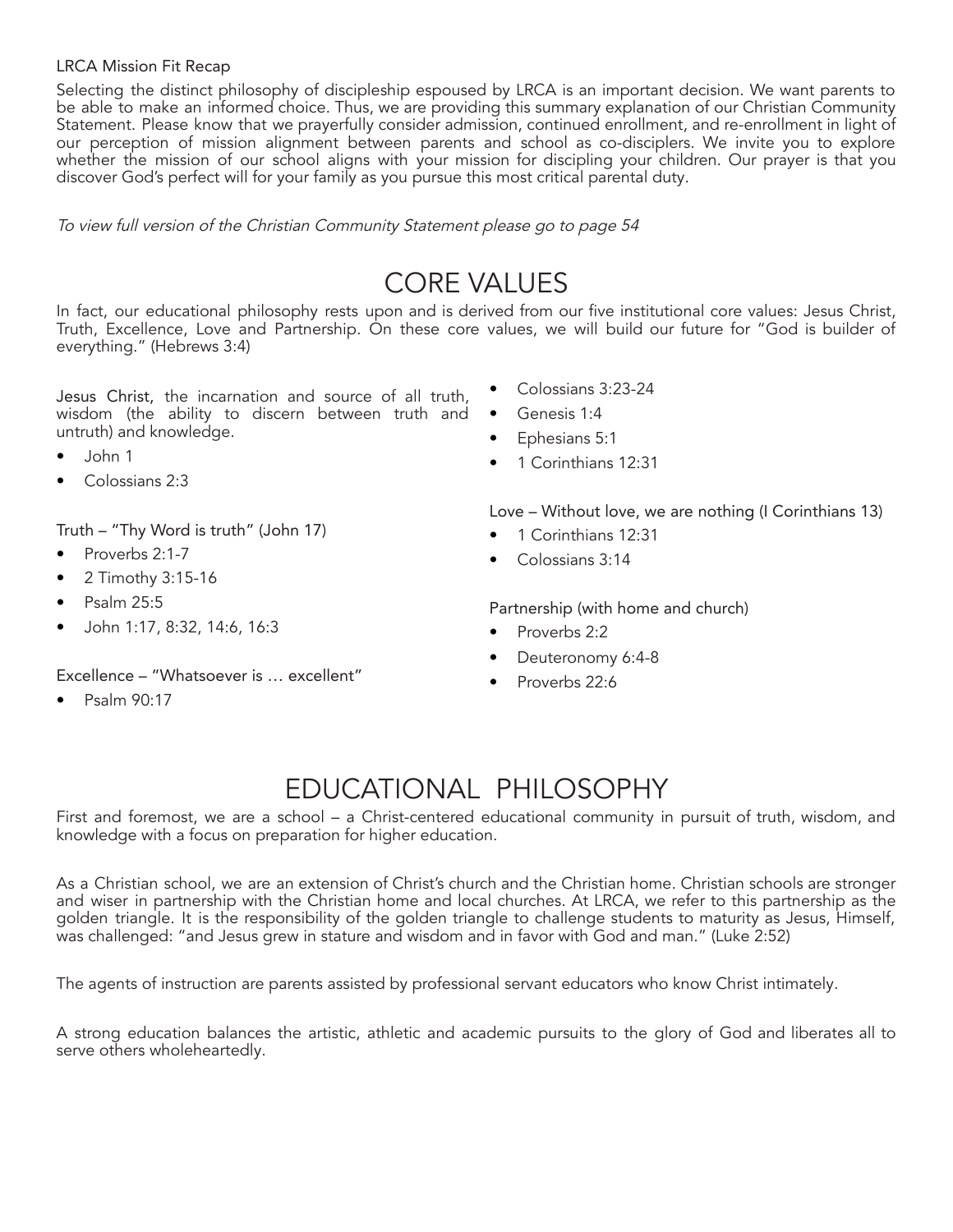#### LRCA Mission Fit Recap

Selecting the distinct philosophy of discipleship espoused by LRCA is an important decision. We want parents to be able to make an informed choice. Thus, we are providing this summary explanation of our Christian Community Statement. Please know that we prayerfully consider admission, continued enrollment, and re-enrollment in light of our perception of mission alignment between parents and school as co-disciplers. We invite you to explore whether the mission of our school aligns with your mission for discipling your children. Our prayer is that you discover God's perfect will for your family as you pursue this most critical parental duty.

To view full version of the Christian Community Statement please go to page <sup>54</sup>

# CORE VALUES

In fact, our educational philosophy rests upon and is derived from our five institutional core values: Jesus Christ, Truth, Excellence, Love and Partnership. On these core values, we will build our future for "God is builder of everything." (Hebrews 3:4)

Jesus Christ, the incarnation and source of all truth, wisdom (the ability to discern between truth and untruth) and knowledge.

- John 1
- Colossians 2:3

Truth – "Thy Word is truth" (John 17)

- Proverbs 2:1-7
- 2 Timothy 3:15-16
- Psalm 25:5
- John 1:17, 8:32, 14:6, 16:3

Excellence – "Whatsoever is … excellent"

• Psalm 90:17

- Colossians 3:23-24
- Genesis 1:4
- Ephesians 5:1
- 1 Corinthians 12:31

Love – Without love, we are nothing (I Corinthians 13)

- 1 Corinthians 12:31
- Colossians 3:14

Partnership (with home and church)

- Proverbs 2:2
- Deuteronomy 6:4-8
- Proverbs 22:6

# EDUCATIONAL PHILOSOPHY

First and foremost, we are a school – a Christ-centered educational community in pursuit of truth, wisdom, and knowledge with a focus on preparation for higher education.

As a Christian school, we are an extension of Christ's church and the Christian home. Christian schools are stronger and wiser in partnership with the Christian home and local churches. At LRCA, we refer to this partnership as the golden triangle. It is the responsibility of the golden triangle to challenge students to maturity as Jesus, Himself, was challenged: "and Jesus grew in stature and wisdom and in favor with God and man." (Luke 2:52)

The agents of instruction are parents assisted by professional servant educators who know Christ intimately.

A strong education balances the artistic, athletic and academic pursuits to the glory of God and liberates all to serve others wholeheartedly.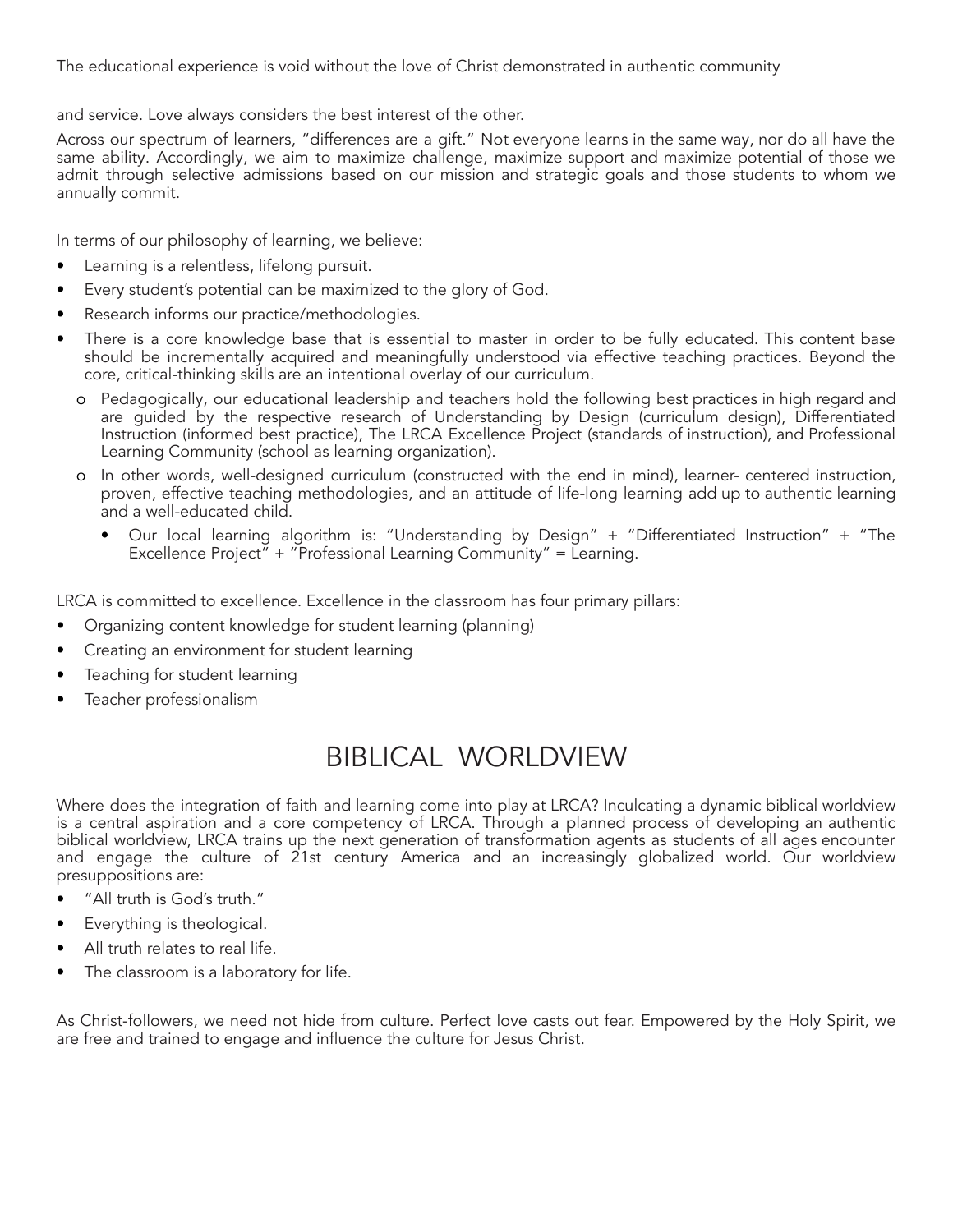The educational experience is void without the love of Christ demonstrated in authentic community

and service. Love always considers the best interest of the other.

Across our spectrum of learners, "differences are a gift." Not everyone learns in the same way, nor do all have the same ability. Accordingly, we aim to maximize challenge, maximize support and maximize potential of those we admit through selective admissions based on our mission and strategic goals and those students to whom we annually commit.

In terms of our philosophy of learning, we believe:

- Learning is a relentless, lifelong pursuit.
- Every student's potential can be maximized to the glory of God.
- Research informs our practice/methodologies.
- There is a core knowledge base that is essential to master in order to be fully educated. This content base should be incrementally acquired and meaningfully understood via effective teaching practices. Beyond the core, critical-thinking skills are an intentional overlay of our curriculum.
	- o Pedagogically, our educational leadership and teachers hold the following best practices in high regard and are guided by the respective research of Understanding by Design (curriculum design), Differentiated Instruction (informed best practice), The LRCA Excellence Project (standards of instruction), and Professional Learning Community (school as learning organization).
	- o In other words, well-designed curriculum (constructed with the end in mind), learner- centered instruction, proven, effective teaching methodologies, and an attitude of life-long learning add up to authentic learning and a well-educated child.
		- Our local learning algorithm is: "Understanding by Design" + "Differentiated Instruction" + "The Excellence Project" + "Professional Learning Community" = Learning.

LRCA is committed to excellence. Excellence in the classroom has four primary pillars:

- Organizing content knowledge for student learning (planning)
- Creating an environment for student learning
- Teaching for student learning
- Teacher professionalism

# BIBLICAL WORLDVIEW

Where does the integration of faith and learning come into play at LRCA? Inculcating a dynamic biblical worldview is a central aspiration and a core competency of LRCA. Through a planned process of developing an authentic biblical worldview, LRCA trains up the next generation of transformation agents as students of all ages encounter and engage the culture of 21st century America and an increasingly globalized world. Our worldview presuppositions are:

- "All truth is God's truth."
- Everything is theological.
- All truth relates to real life.
- The classroom is a laboratory for life.

As Christ-followers, we need not hide from culture. Perfect love casts out fear. Empowered by the Holy Spirit, we are free and trained to engage and influence the culture for Jesus Christ.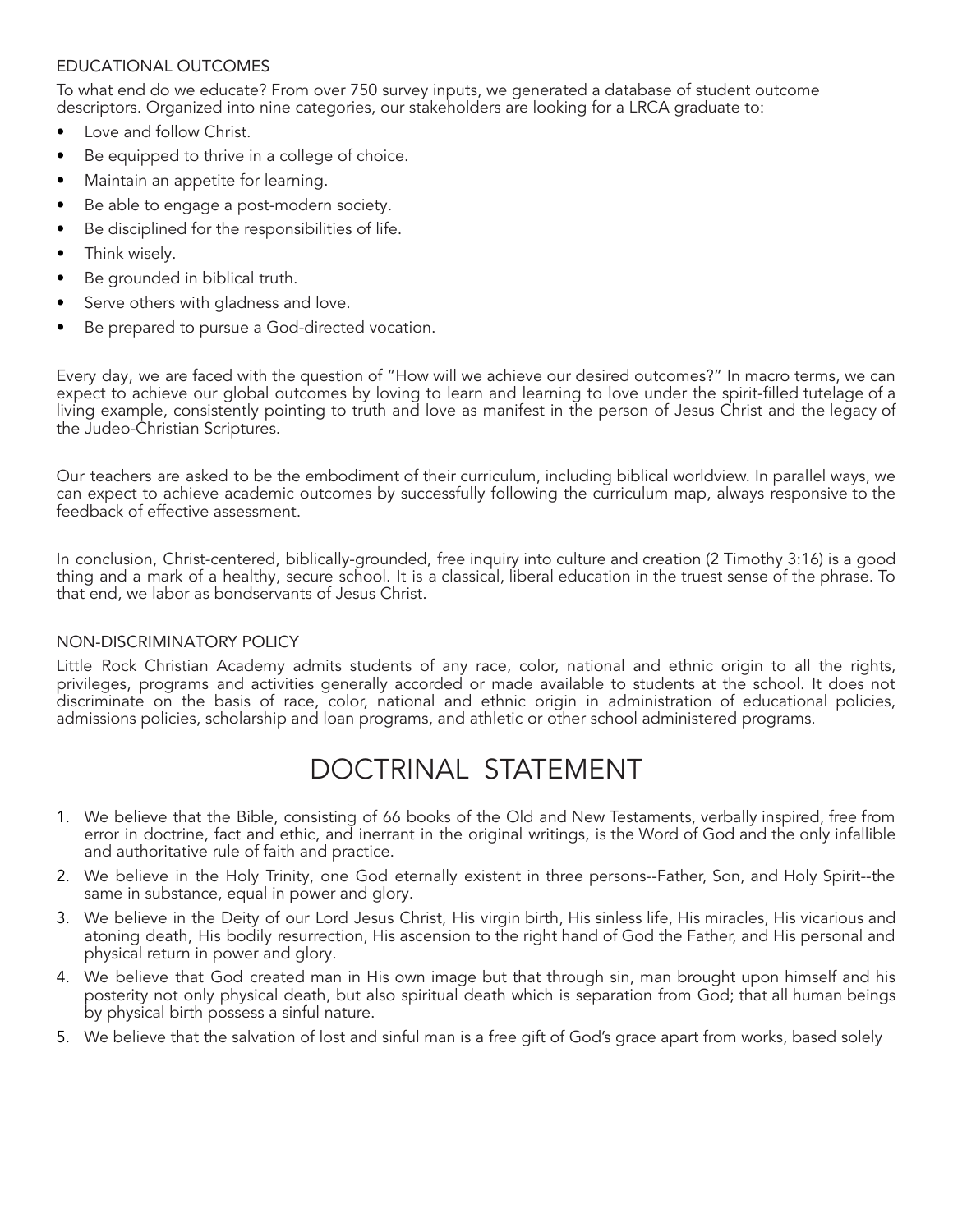# EDUCATIONAL OUTCOMES

To what end do we educate? From over 750 survey inputs, we generated a database of student outcome descriptors. Organized into nine categories, our stakeholders are looking for a LRCA graduate to:

- Love and follow Christ.
- Be equipped to thrive in a college of choice.
- Maintain an appetite for learning.
- Be able to engage a post-modern society.
- Be disciplined for the responsibilities of life.
- Think wisely.
- Be grounded in biblical truth.
- Serve others with gladness and love.
- Be prepared to pursue a God-directed vocation.

Every day, we are faced with the question of "How will we achieve our desired outcomes?" In macro terms, we can expect to achieve our global outcomes by loving to learn and learning to love under the spirit-filled tutelage of a living example, consistently pointing to truth and love as manifest in the person of Jesus Christ and the legacy of the Judeo-Christian Scriptures.

Our teachers are asked to be the embodiment of their curriculum, including biblical worldview. In parallel ways, we can expect to achieve academic outcomes by successfully following the curriculum map, always responsive to the feedback of effective assessment.

In conclusion, Christ-centered, biblically-grounded, free inquiry into culture and creation (2 Timothy 3:16) is a good thing and a mark of a healthy, secure school. It is a classical, liberal education in the truest sense of the phrase. To that end, we labor as bondservants of Jesus Christ.

# NON-DISCRIMINATORY POLICY

Little Rock Christian Academy admits students of any race, color, national and ethnic origin to all the rights, privileges, programs and activities generally accorded or made available to students at the school. It does not discriminate on the basis of race, color, national and ethnic origin in administration of educational policies, admissions policies, scholarship and loan programs, and athletic or other school administered programs.

# DOCTRINAL STATEMENT

- 1. We believe that the Bible, consisting of 66 books of the Old and New Testaments, verbally inspired, free from error in doctrine, fact and ethic, and inerrant in the original writings, is the Word of God and the only infallible and authoritative rule of faith and practice.
- 2. We believe in the Holy Trinity, one God eternally existent in three persons--Father, Son, and Holy Spirit--the same in substance, equal in power and glory.
- 3. We believe in the Deity of our Lord Jesus Christ, His virgin birth, His sinless life, His miracles, His vicarious and atoning death, His bodily resurrection, His ascension to the right hand of God the Father, and His personal and physical return in power and glory.
- 4. We believe that God created man in His own image but that through sin, man brought upon himself and his posterity not only physical death, but also spiritual death which is separation from God; that all human beings by physical birth possess a sinful nature.
- 5. We believe that the salvation of lost and sinful man is a free gift of God's grace apart from works, based solely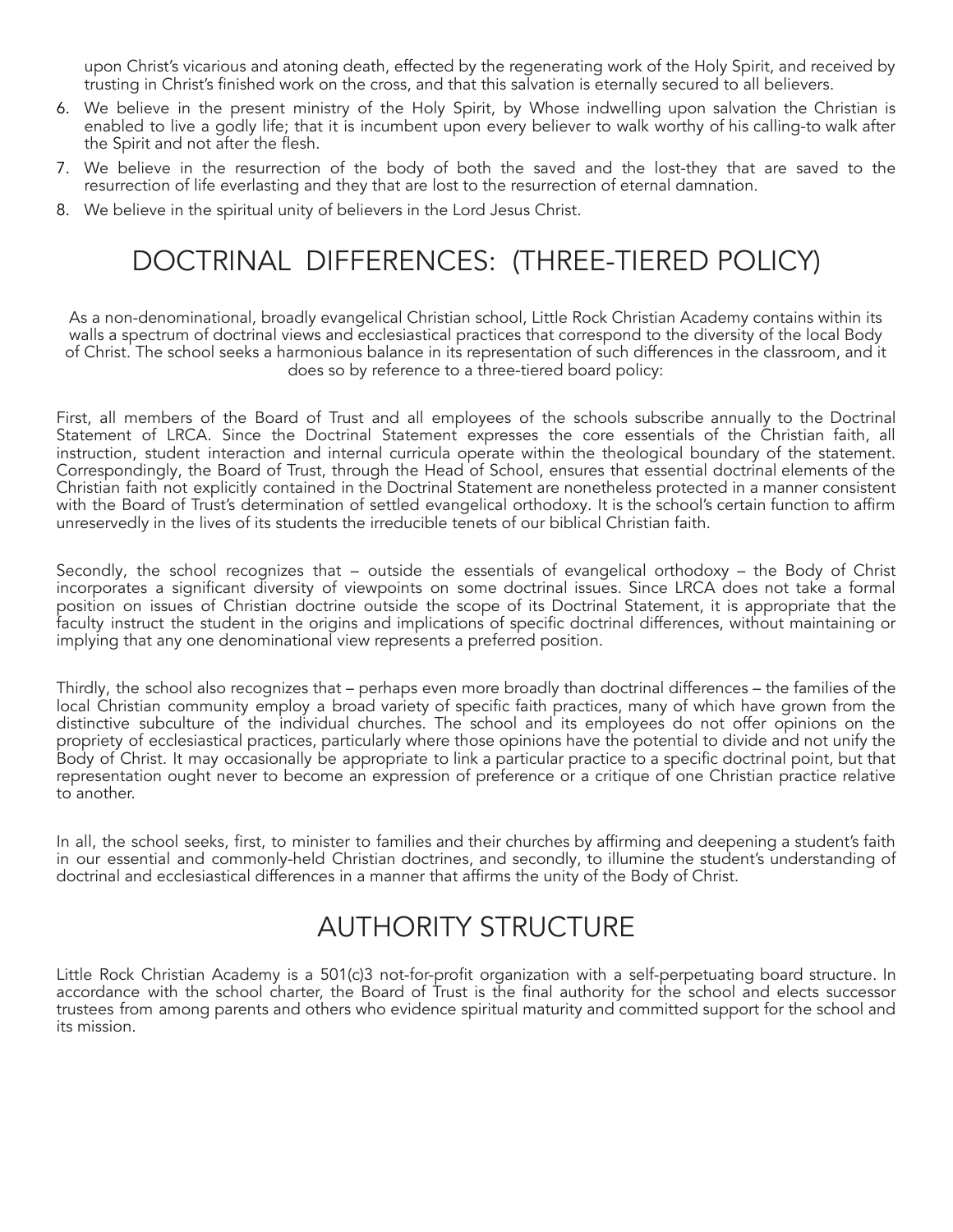upon Christ's vicarious and atoning death, effected by the regenerating work of the Holy Spirit, and received by trusting in Christ's finished work on the cross, and that this salvation is eternally secured to all believers.

- 6. We believe in the present ministry of the Holy Spirit, by Whose indwelling upon salvation the Christian is enabled to live a godly life; that it is incumbent upon every believer to walk worthy of his calling-to walk after the Spirit and not after the flesh.
- 7. We believe in the resurrection of the body of both the saved and the lost-they that are saved to the resurrection of life everlasting and they that are lost to the resurrection of eternal damnation.
- 8. We believe in the spiritual unity of believers in the Lord Jesus Christ.

# DOCTRINAL DIFFERENCES: (THREE-TIERED POLICY)

As a non-denominational, broadly evangelical Christian school, Little Rock Christian Academy contains within its walls a spectrum of doctrinal views and ecclesiastical practices that correspond to the diversity of the local Body of Christ. The school seeks a harmonious balance in its representation of such differences in the classroom, and it does so by reference to a three-tiered board policy:

First, all members of the Board of Trust and all employees of the schools subscribe annually to the Doctrinal Statement of LRCA. Since the Doctrinal Statement expresses the core essentials of the Christian faith, all instruction, student interaction and internal curricula operate within the theological boundary of the statement. Correspondingly, the Board of Trust, through the Head of School, ensures that essential doctrinal elements of the Christian faith not explicitly contained in the Doctrinal Statement are nonetheless protected in a manner consistent with the Board of Trust's determination of settled evangelical orthodoxy. It is the school's certain function to affirm unreservedly in the lives of its students the irreducible tenets of our biblical Christian faith.

Secondly, the school recognizes that – outside the essentials of evangelical orthodoxy – the Body of Christ incorporates a significant diversity of viewpoints on some doctrinal issues. Since LRCA does not take a formal position on issues of Christian doctrine outside the scope of its Doctrinal Statement, it is appropriate that the faculty instruct the student in the origins and implications of specific doctrinal differences, without maintaining or implying that any one denominational view represents a preferred position.

Thirdly, the school also recognizes that – perhaps even more broadly than doctrinal differences – the families of the local Christian community employ a broad variety of specific faith practices, many of which have grown from the distinctive subculture of the individual churches. The school and its employees do not offer opinions on the propriety of ecclesiastical practices, particularly where those opinions have the potential to divide and not unify the Body of Christ. It may occasionally be appropriate to link a particular practice to a specific doctrinal point, but that representation ought never to become an expression of preference or a critique of one Christian practice relative to another.

In all, the school seeks, first, to minister to families and their churches by affirming and deepening a student's faith in our essential and commonly-held Christian doctrines, and secondly, to illumine the student's understanding of doctrinal and ecclesiastical differences in a manner that affirms the unity of the Body of Christ.

# AUTHORITY STRUCTURE

Little Rock Christian Academy is a 501(c)3 not-for-profit organization with a self-perpetuating board structure. In accordance with the school charter, the Board of Trust is the final authority for the school and elects successor trustees from among parents and others who evidence spiritual maturity and committed support for the school and its mission.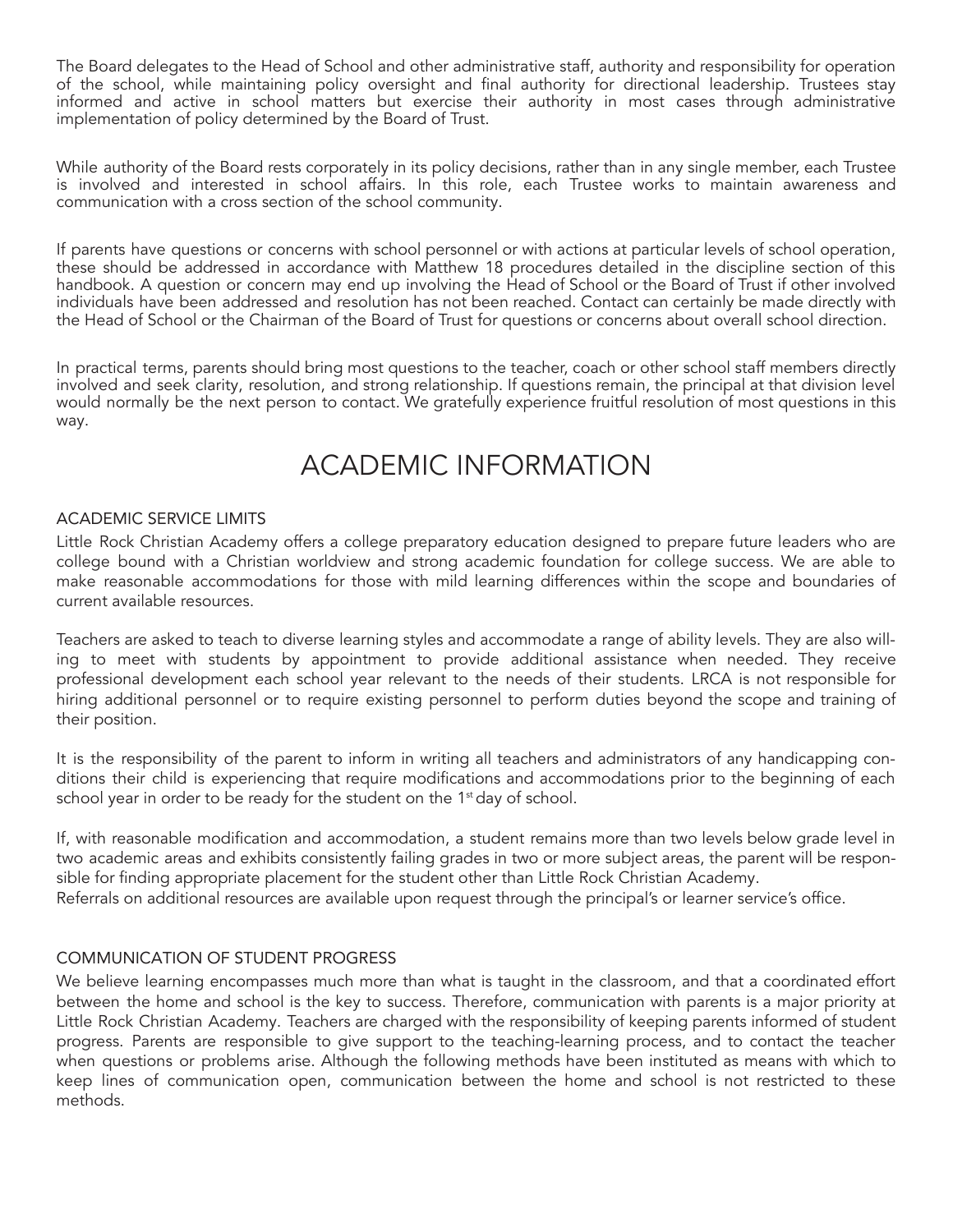The Board delegates to the Head of School and other administrative staff, authority and responsibility for operation of the school, while maintaining policy oversight and final authority for directional leadership. Trustees stay informed and active in school matters but exercise their authority in most cases through administrative implementation of policy determined by the Board of Trust.

While authority of the Board rests corporately in its policy decisions, rather than in any single member, each Trustee is involved and interested in school affairs. In this role, each Trustee works to maintain awareness and communication with a cross section of the school community.

If parents have questions or concerns with school personnel or with actions at particular levels of school operation, these should be addressed in accordance with Matthew 18 procedures detailed in the discipline section of this handbook. A question or concern may end up involving the Head of School or the Board of Trust if other involved individuals have been addressed and resolution has not been reached. Contact can certainly be made directly with the Head of School or the Chairman of the Board of Trust for questions or concerns about overall school direction.

In practical terms, parents should bring most questions to the teacher, coach or other school staff members directly involved and seek clarity, resolution, and strong relationship. If questions remain, the principal at that division level would normally be the next person to contact. We gratefully experience fruitful resolution of most questions in this way.

# ACADEMIC INFORMATION

#### ACADEMIC SERVICE LIMITS

Little Rock Christian Academy offers a college preparatory education designed to prepare future leaders who are college bound with a Christian worldview and strong academic foundation for college success. We are able to make reasonable accommodations for those with mild learning differences within the scope and boundaries of current available resources.

Teachers are asked to teach to diverse learning styles and accommodate a range of ability levels. They are also willing to meet with students by appointment to provide additional assistance when needed. They receive professional development each school year relevant to the needs of their students. LRCA is not responsible for hiring additional personnel or to require existing personnel to perform duties beyond the scope and training of their position.

It is the responsibility of the parent to inform in writing all teachers and administrators of any handicapping conditions their child is experiencing that require modifications and accommodations prior to the beginning of each school year in order to be ready for the student on the 1<sup>st</sup> day of school.

If, with reasonable modification and accommodation, a student remains more than two levels below grade level in two academic areas and exhibits consistently failing grades in two or more subject areas, the parent will be responsible for finding appropriate placement for the student other than Little Rock Christian Academy. Referrals on additional resources are available upon request through the principal's or learner service's office.

# COMMUNICATION OF STUDENT PROGRESS

We believe learning encompasses much more than what is taught in the classroom, and that a coordinated effort between the home and school is the key to success. Therefore, communication with parents is a major priority at Little Rock Christian Academy. Teachers are charged with the responsibility of keeping parents informed of student progress. Parents are responsible to give support to the teaching-learning process, and to contact the teacher when questions or problems arise. Although the following methods have been instituted as means with which to keep lines of communication open, communication between the home and school is not restricted to these methods.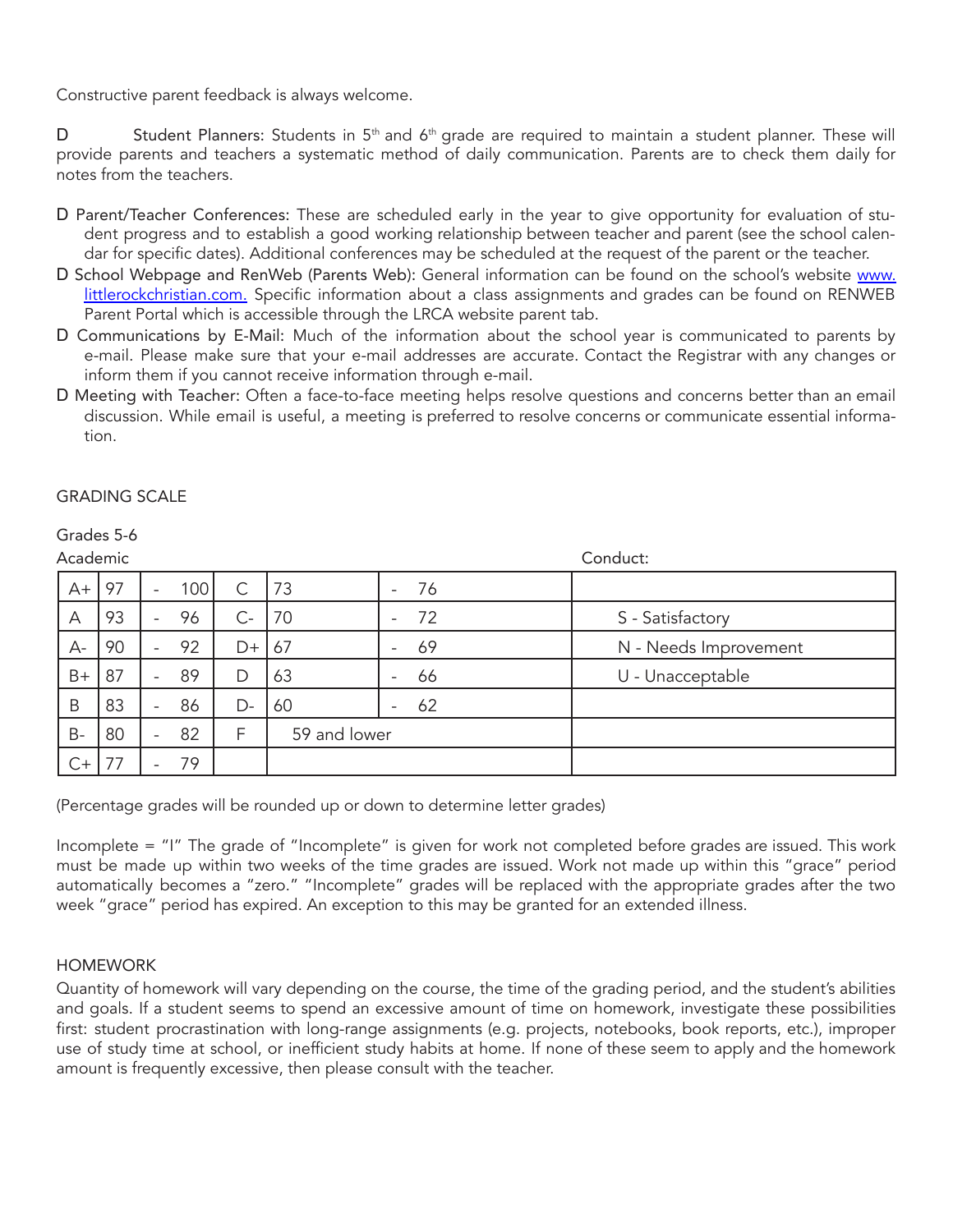Constructive parent feedback is always welcome.

D Student Planners: Students in 5<sup>th</sup> and 6<sup>th</sup> grade are required to maintain a student planner. These will provide parents and teachers a systematic method of daily communication. Parents are to check them daily for notes from the teachers.

- D Parent/Teacher Conferences: These are scheduled early in the year to give opportunity for evaluation of student progress and to establish a good working relationship between teacher and parent (see the school calendar for specific dates). Additional conferences may be scheduled at the request of the parent or the teacher.
- D School Webpage and RenWeb (Parents Web): General information can be found on the school's website [www.](http://www/) littlerockchristian.com. Specific information about a class assignments and grades can be found on RENWEB Parent Portal which is accessible through the LRCA website parent tab.
- D Communications by E-Mail: Much of the information about the school year is communicated to parents by e-mail. Please make sure that your e-mail addresses are accurate. Contact the Registrar with any changes or inform them if you cannot receive information through e-mail.
- D Meeting with Teacher: Often a face-to-face meeting helps resolve questions and concerns better than an email discussion. While email is useful, a meeting is preferred to resolve concerns or communicate essential information.

# GRADING SCALE

| Academic                |    |                          |     |    |              |                          |    | Conduct:              |
|-------------------------|----|--------------------------|-----|----|--------------|--------------------------|----|-----------------------|
| $A+$                    | 97 | $\overline{\phantom{a}}$ | 100 | C  | 73           |                          | 76 |                       |
| $\overline{\mathsf{A}}$ | 93 | $\overline{\phantom{0}}$ | 96  | С- | 70           |                          | 72 | S - Satisfactory      |
| $A-$                    | 90 |                          | 92  | D+ | 67           |                          | 69 | N - Needs Improvement |
| $B+$                    | 87 | $\overline{\phantom{0}}$ | 89  | D  | 63           | $\overline{\phantom{0}}$ | 66 | U - Unacceptable      |
| B                       | 83 |                          | 86  | D- | 60           |                          | 62 |                       |
| $B -$                   | 80 | -                        | 82  | F  | 59 and lower |                          |    |                       |
| $C+$                    | 77 |                          | 79  |    |              |                          |    |                       |

Grades 5-6

(Percentage grades will be rounded up or down to determine letter grades)

Incomplete = "I" The grade of "Incomplete" is given for work not completed before grades are issued. This work must be made up within two weeks of the time grades are issued. Work not made up within this "grace" period automatically becomes a "zero." "Incomplete" grades will be replaced with the appropriate grades after the two week "grace" period has expired. An exception to this may be granted for an extended illness.

#### HOMEWORK

Quantity of homework will vary depending on the course, the time of the grading period, and the student's abilities and goals. If a student seems to spend an excessive amount of time on homework, investigate these possibilities first: student procrastination with long-range assignments (e.g. projects, notebooks, book reports, etc.), improper use of study time at school, or inefficient study habits at home. If none of these seem to apply and the homework amount is frequently excessive, then please consult with the teacher.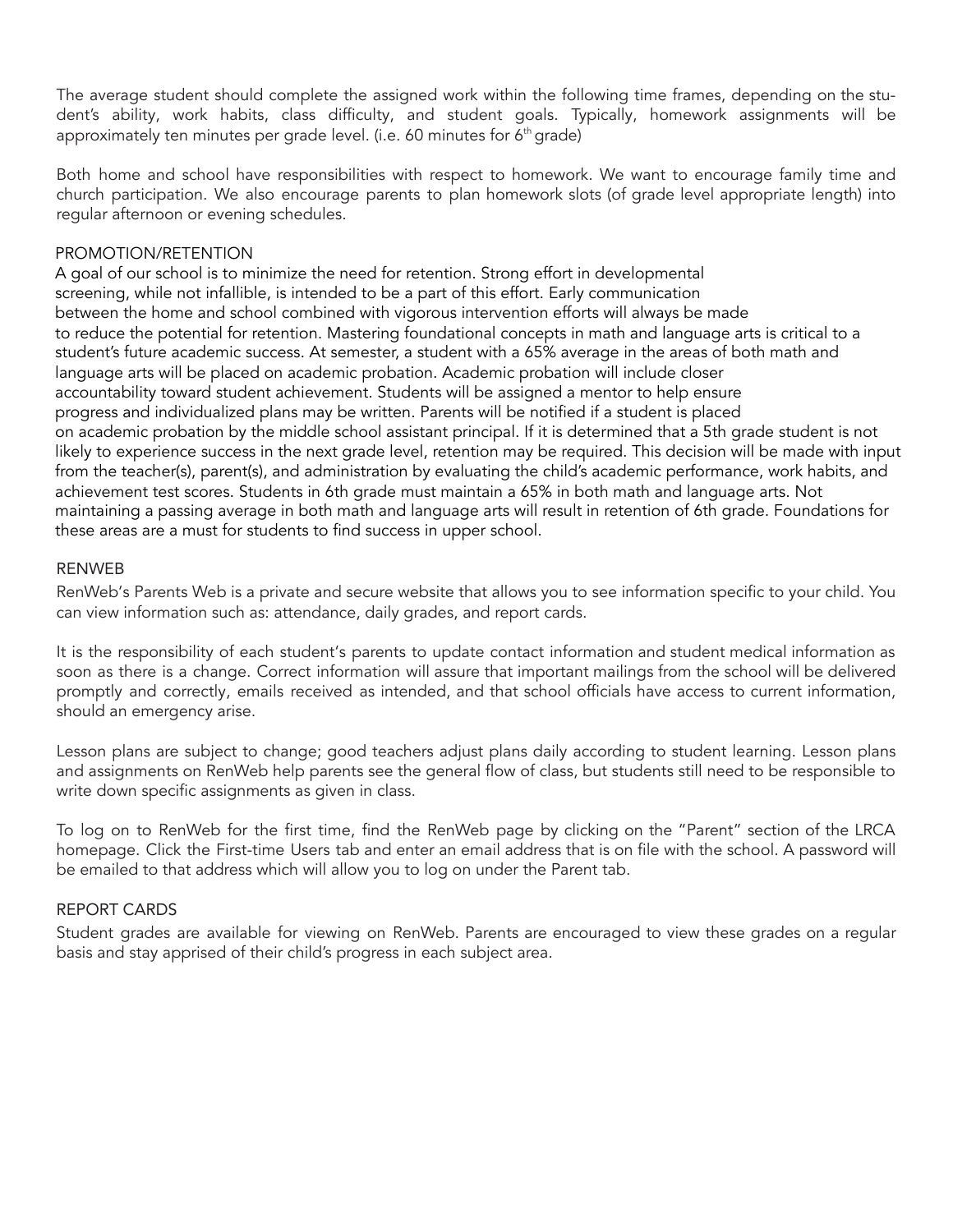The average student should complete the assigned work within the following time frames, depending on the student's ability, work habits, class difficulty, and student goals. Typically, homework assignments will be approximately ten minutes per grade level. (i.e. 60 minutes for 6<sup>th</sup> grade)

Both home and school have responsibilities with respect to homework. We want to encourage family time and church participation. We also encourage parents to plan homework slots (of grade level appropriate length) into regular afternoon or evening schedules.

#### PROMOTION/RETENTION

A goal of our school is to minimize the need for retention. Strong effort in developmental screening, while not infallible, is intended to be a part of this effort. Early communication between the home and school combined with vigorous intervention efforts will always be made to reduce the potential for retention. Mastering foundational concepts in math and language arts is critical to a student's future academic success. At semester, a student with a 65% average in the areas of both math and language arts will be placed on academic probation. Academic probation will include closer accountability toward student achievement. Students will be assigned a mentor to help ensure progress and individualized plans may be written. Parents will be notified if a student is placed on academic probation by the middle school assistant principal. If it is determined that a 5th grade student is not likely to experience success in the next grade level, retention may be required. This decision will be made with input from the teacher(s), parent(s), and administration by evaluating the child's academic performance, work habits, and achievement test scores. Students in 6th grade must maintain a 65% in both math and language arts. Not maintaining a passing average in both math and language arts will result in retention of 6th grade. Foundations for these areas are a must for students to find success in upper school.

#### RENWEB

RenWeb's Parents Web is a private and secure website that allows you to see information specific to your child. You can view information such as: attendance, daily grades, and report cards.

It is the responsibility of each student's parents to update contact information and student medical information as soon as there is a change. Correct information will assure that important mailings from the school will be delivered promptly and correctly, emails received as intended, and that school officials have access to current information, should an emergency arise.

Lesson plans are subject to change; good teachers adjust plans daily according to student learning. Lesson plans and assignments on RenWeb help parents see the general flow of class, but students still need to be responsible to write down specific assignments as given in class.

To log on to RenWeb for the first time, find the RenWeb page by clicking on the "Parent" section of the LRCA homepage. Click the First-time Users tab and enter an email address that is on file with the school. A password will be emailed to that address which will allow you to log on under the Parent tab.

#### REPORT CARDS

Student grades are available for viewing on RenWeb. Parents are encouraged to view these grades on a regular basis and stay apprised of their child's progress in each subject area.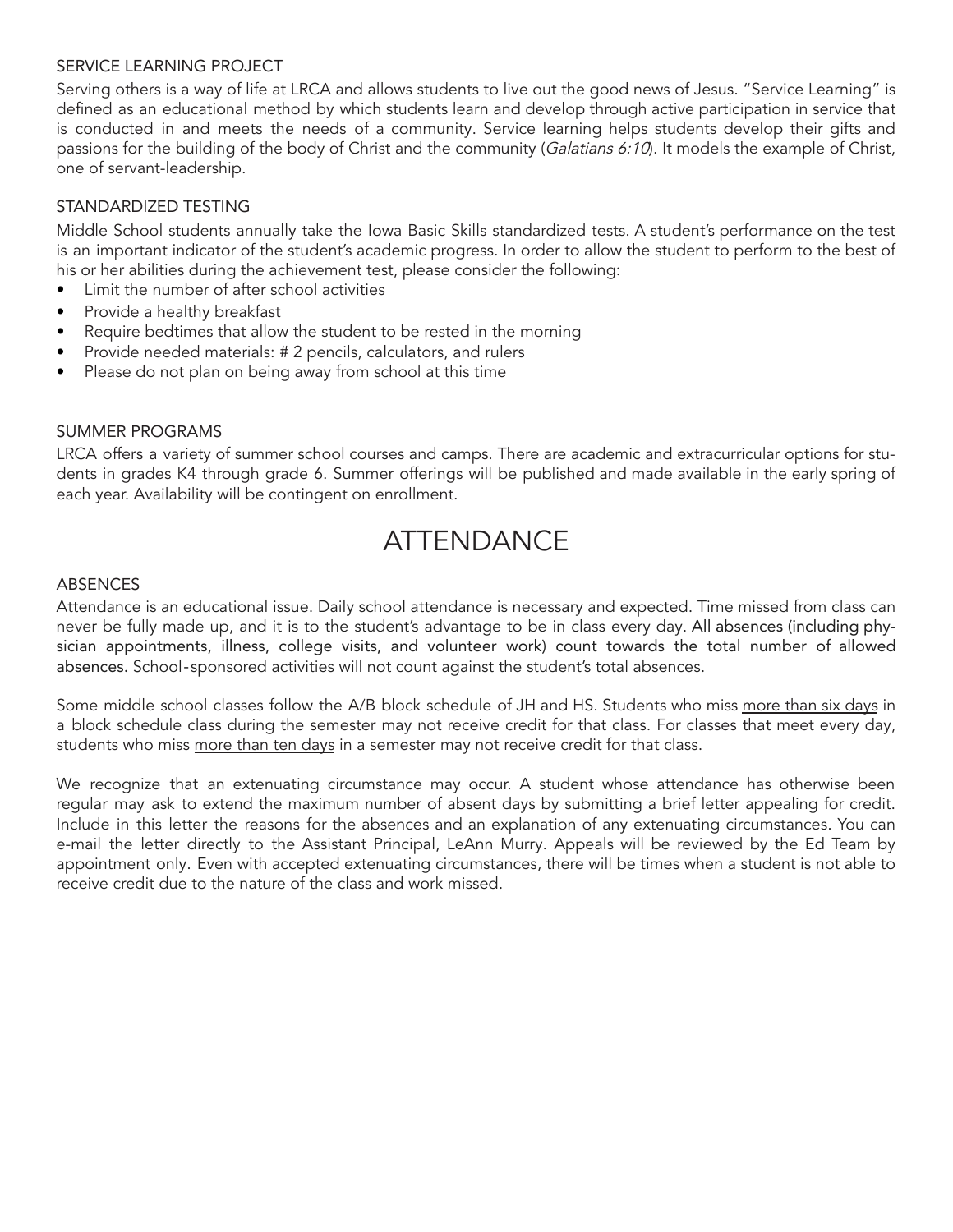#### SERVICE LEARNING PROJECT

Serving others is a way of life at LRCA and allows students to live out the good news of Jesus. "Service Learning" is defined as an educational method by which students learn and develop through active participation in service that is conducted in and meets the needs of a community. Service learning helps students develop their gifts and passions for the building of the body of Christ and the community (Galatians 6:10). It models the example of Christ, one of servant-leadership.

# STANDARDIZED TESTING

Middle School students annually take the Iowa Basic Skills standardized tests. A student's performance on the test is an important indicator of the student's academic progress. In order to allow the student to perform to the best of his or her abilities during the achievement test, please consider the following:

- Limit the number of after school activities
- Provide a healthy breakfast
- Require bedtimes that allow the student to be rested in the morning
- Provide needed materials: # 2 pencils, calculators, and rulers
- Please do not plan on being away from school at this time

#### SUMMER PROGRAMS

LRCA offers a variety of summer school courses and camps. There are academic and extracurricular options for students in grades K4 through grade 6. Summer offerings will be published and made available in the early spring of each year. Availability will be contingent on enrollment.

# **ATTENDANCE**

#### ABSENCES

Attendance is an educational issue. Daily school attendance is necessary and expected. Time missed from class can never be fully made up, and it is to the student's advantage to be in class every day. All absences (including physician appointments, illness, college visits, and volunteer work) count towards the total number of allowed absences. School‐sponsored activities will not count against the student's total absences.

Some middle school classes follow the A/B block schedule of JH and HS. Students who miss more than six days in a block schedule class during the semester may not receive credit for that class. For classes that meet every day, students who miss more than ten days in a semester may not receive credit for that class.

We recognize that an extenuating circumstance may occur. A student whose attendance has otherwise been regular may ask to extend the maximum number of absent days by submitting a brief letter appealing for credit. Include in this letter the reasons for the absences and an explanation of any extenuating circumstances. You can e-mail the letter directly to the Assistant Principal, LeAnn Murry. Appeals will be reviewed by the Ed Team by appointment only. Even with accepted extenuating circumstances, there will be times when a student is not able to receive credit due to the nature of the class and work missed.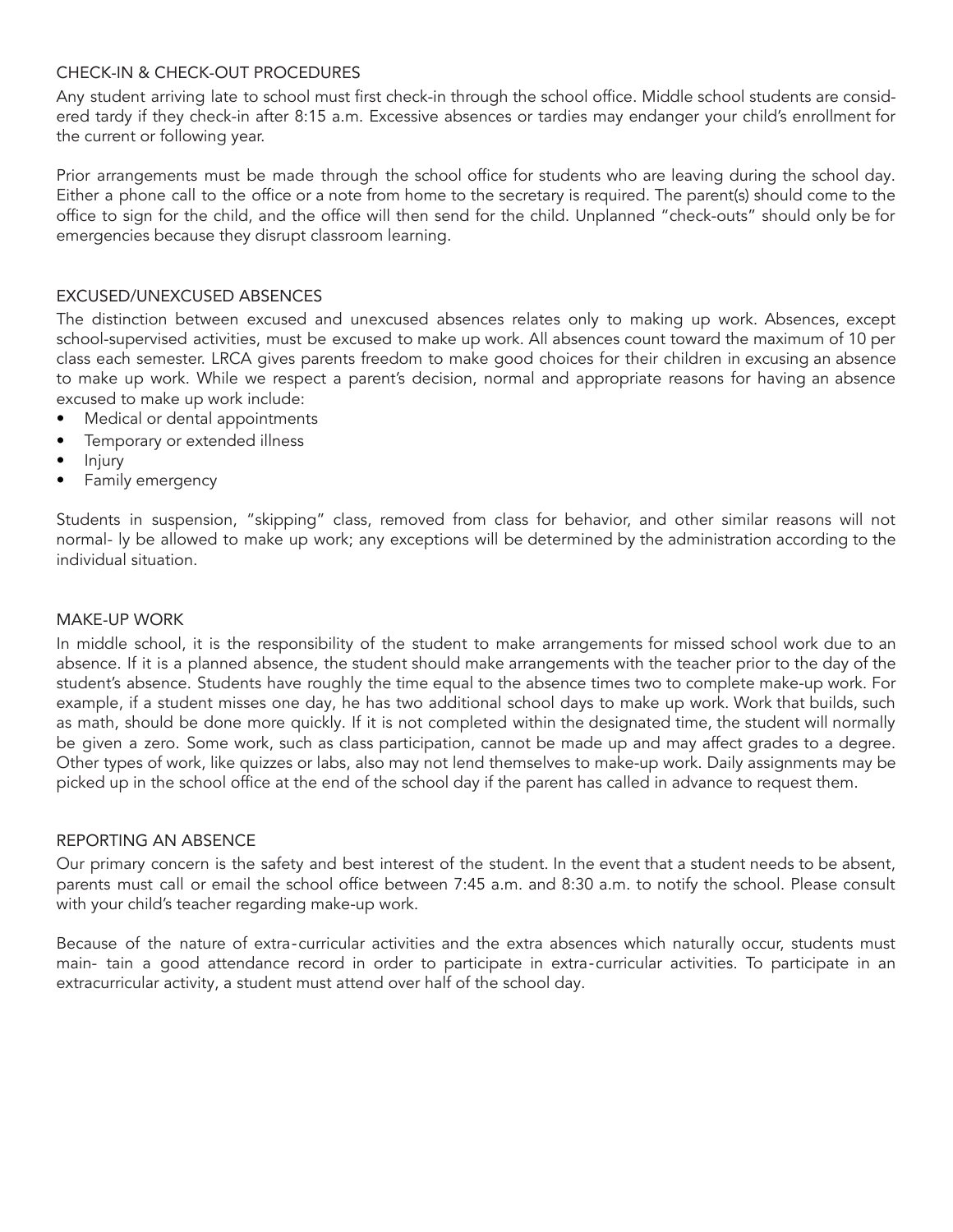# CHECK-IN & CHECK-OUT PROCEDURES

Any student arriving late to school must first check-in through the school office. Middle school students are considered tardy if they check-in after 8:15 a.m. Excessive absences or tardies may endanger your child's enrollment for the current or following year.

Prior arrangements must be made through the school office for students who are leaving during the school day. Either a phone call to the office or a note from home to the secretary is required. The parent(s) should come to the office to sign for the child, and the office will then send for the child. Unplanned "check-outs" should only be for emergencies because they disrupt classroom learning.

# EXCUSED/UNEXCUSED ABSENCES

The distinction between excused and unexcused absences relates only to making up work. Absences, except school-supervised activities, must be excused to make up work. All absences count toward the maximum of 10 per class each semester. LRCA gives parents freedom to make good choices for their children in excusing an absence to make up work. While we respect a parent's decision, normal and appropriate reasons for having an absence excused to make up work include:

- Medical or dental appointments
- Temporary or extended illness
- Injury
- Family emergency

Students in suspension, "skipping" class, removed from class for behavior, and other similar reasons will not normal- ly be allowed to make up work; any exceptions will be determined by the administration according to the individual situation.

#### MAKE-UP WORK

In middle school, it is the responsibility of the student to make arrangements for missed school work due to an absence. If it is a planned absence, the student should make arrangements with the teacher prior to the day of the student's absence. Students have roughly the time equal to the absence times two to complete make-up work. For example, if a student misses one day, he has two additional school days to make up work. Work that builds, such as math, should be done more quickly. If it is not completed within the designated time, the student will normally be given a zero. Some work, such as class participation, cannot be made up and may affect grades to a degree. Other types of work, like quizzes or labs, also may not lend themselves to make-up work. Daily assignments may be picked up in the school office at the end of the school day if the parent has called in advance to request them.

#### REPORTING AN ABSENCE

Our primary concern is the safety and best interest of the student. In the event that a student needs to be absent, parents must call or email the school office between 7:45 a.m. and 8:30 a.m. to notify the school. Please consult with your child's teacher regarding make-up work.

Because of the nature of extra‐curricular activities and the extra absences which naturally occur, students must main- tain a good attendance record in order to participate in extra‐curricular activities. To participate in an extracurricular activity, a student must attend over half of the school day.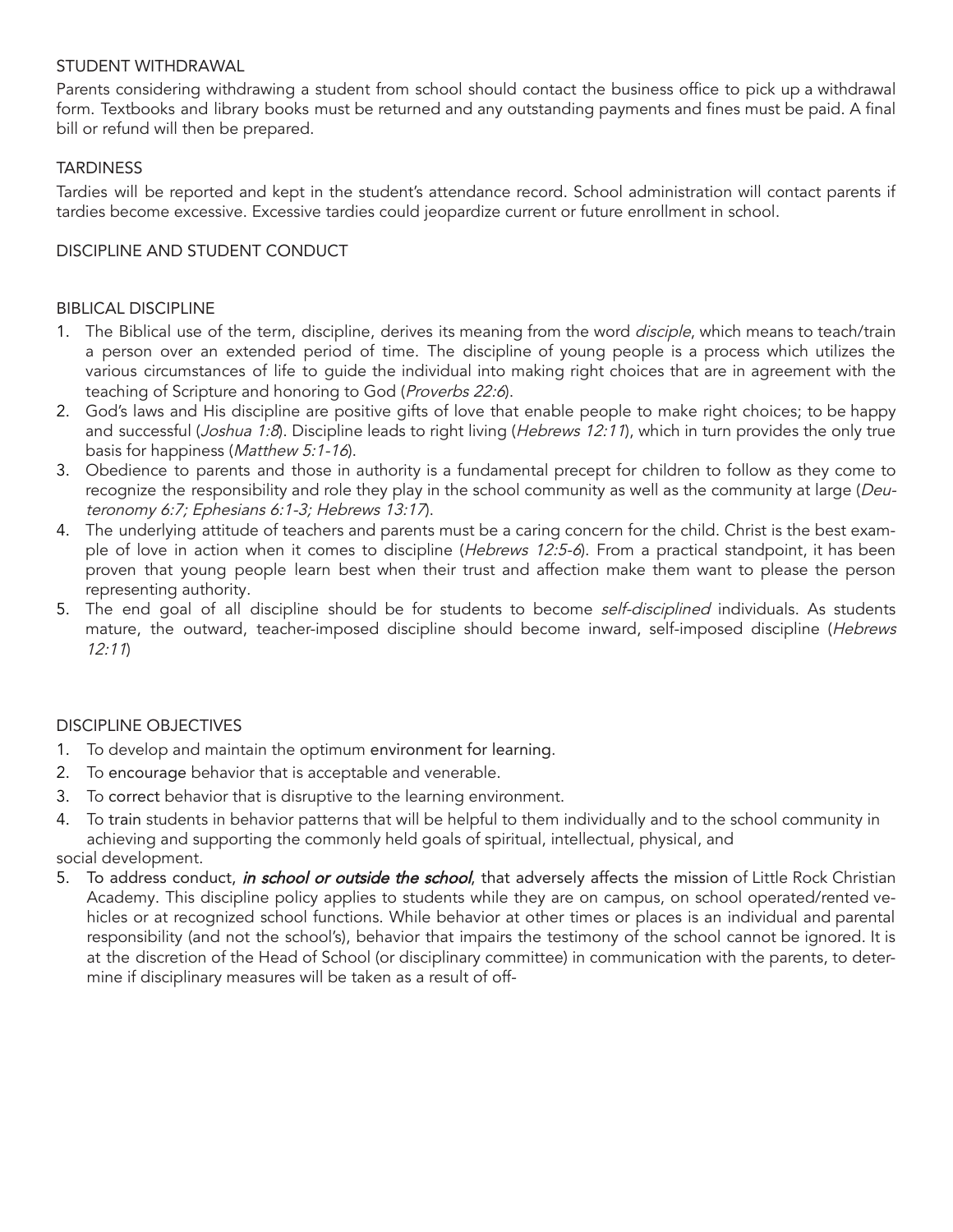#### STUDENT WITHDRAWAL

Parents considering withdrawing a student from school should contact the business office to pick up a withdrawal form. Textbooks and library books must be returned and any outstanding payments and fines must be paid. A final bill or refund will then be prepared.

# **TARDINESS**

Tardies will be reported and kept in the student's attendance record. School administration will contact parents if tardies become excessive. Excessive tardies could jeopardize current or future enrollment in school.

# DISCIPLINE AND STUDENT CONDUCT

# BIBLICAL DISCIPLINE

- 1. The Biblical use of the term, discipline, derives its meaning from the word *disciple*, which means to teach/train a person over an extended period of time. The discipline of young people is a process which utilizes the various circumstances of life to guide the individual into making right choices that are in agreement with the teaching of Scripture and honoring to God (Proverbs 22:6).
- 2. God's laws and His discipline are positive gifts of love that enable people to make right choices; to be happy and successful (Joshua 1:8). Discipline leads to right living (Hebrews 12:11), which in turn provides the only true basis for happiness (Matthew 5:1-16).
- 3. Obedience to parents and those in authority is a fundamental precept for children to follow as they come to recognize the responsibility and role they play in the school community as well as the community at large (Deuteronomy 6:7; Ephesians 6:1-3; Hebrews 13:17).
- 4. The underlying attitude of teachers and parents must be a caring concern for the child. Christ is the best example of love in action when it comes to discipline (Hebrews 12:5-6). From a practical standpoint, it has been proven that young people learn best when their trust and affection make them want to please the person representing authority.
- 5. The end goal of all discipline should be for students to become self-disciplined individuals. As students mature, the outward, teacher-imposed discipline should become inward, self-imposed discipline (Hebrews 12:11)

# DISCIPLINE OBJECTIVES

- 1. To develop and maintain the optimum environment for learning.
- 2. To encourage behavior that is acceptable and venerable.
- 3. To correct behavior that is disruptive to the learning environment.
- 4. To train students in behavior patterns that will be helpful to them individually and to the school community in achieving and supporting the commonly held goals of spiritual, intellectual, physical, and social development.
- 5. To address conduct, *in school or outside the school*, that adversely affects the mission of Little Rock Christian Academy. This discipline policy applies to students while they are on campus, on school operated/rented vehicles or at recognized school functions. While behavior at other times or places is an individual and parental responsibility (and not the school's), behavior that impairs the testimony of the school cannot be ignored. It is at the discretion of the Head of School (or disciplinary committee) in communication with the parents, to determine if disciplinary measures will be taken as a result of off-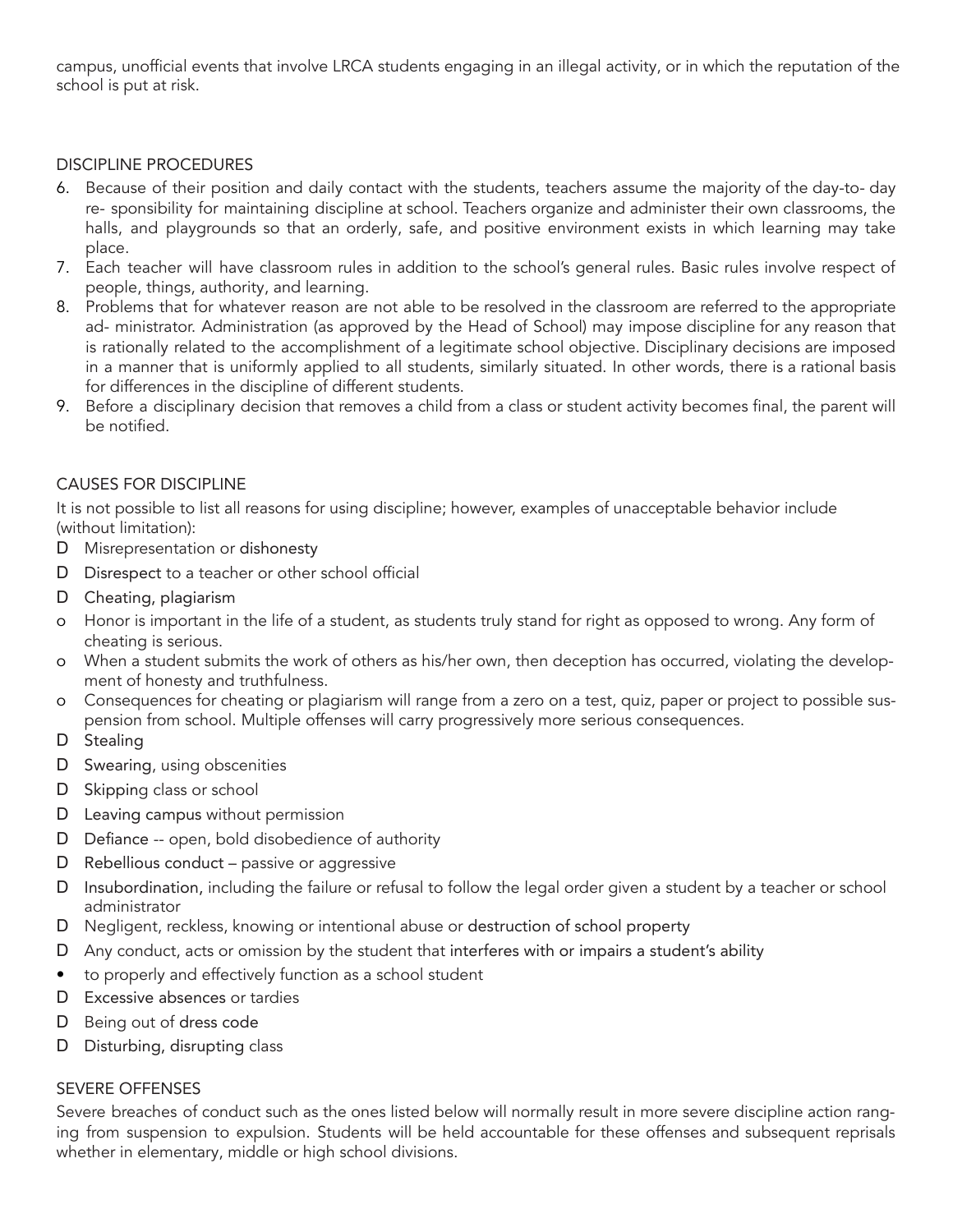campus, unofficial events that involve LRCA students engaging in an illegal activity, or in which the reputation of the school is put at risk.

# DISCIPLINE PROCEDURES

- 6. Because of their position and daily contact with the students, teachers assume the majority of the day-to- day re- sponsibility for maintaining discipline at school. Teachers organize and administer their own classrooms, the halls, and playgrounds so that an orderly, safe, and positive environment exists in which learning may take place.
- 7. Each teacher will have classroom rules in addition to the school's general rules. Basic rules involve respect of people, things, authority, and learning.
- 8. Problems that for whatever reason are not able to be resolved in the classroom are referred to the appropriate ad- ministrator. Administration (as approved by the Head of School) may impose discipline for any reason that is rationally related to the accomplishment of a legitimate school objective. Disciplinary decisions are imposed in a manner that is uniformly applied to all students, similarly situated. In other words, there is a rational basis for differences in the discipline of different students.
- 9. Before a disciplinary decision that removes a child from a class or student activity becomes final, the parent will be notified.

# CAUSES FOR DISCIPLINE

It is not possible to list all reasons for using discipline; however, examples of unacceptable behavior include (without limitation):

- D Misrepresentation or dishonesty
- D Disrespect to a teacher or other school official
- D Cheating, plagiarism
- o Honor is important in the life of a student, as students truly stand for right as opposed to wrong. Any form of cheating is serious.
- o When a student submits the work of others as his/her own, then deception has occurred, violating the development of honesty and truthfulness.
- o Consequences for cheating or plagiarism will range from a zero on a test, quiz, paper or project to possible suspension from school. Multiple offenses will carry progressively more serious consequences.
- D Stealing
- D Swearing, using obscenities
- D Skipping class or school
- D Leaving campus without permission
- D Defiance -- open, bold disobedience of authority
- D Rebellious conduct passive or aggressive
- D Insubordination, including the failure or refusal to follow the legal order given a student by a teacher or school administrator
- D Negligent, reckless, knowing or intentional abuse or destruction of school property
- D Any conduct, acts or omission by the student that interferes with or impairs a student's ability
- to properly and effectively function as a school student
- D Excessive absences or tardies
- D Being out of dress code
- D Disturbing, disrupting class

# SEVERE OFFENSES

Severe breaches of conduct such as the ones listed below will normally result in more severe discipline action ranging from suspension to expulsion. Students will be held accountable for these offenses and subsequent reprisals whether in elementary, middle or high school divisions.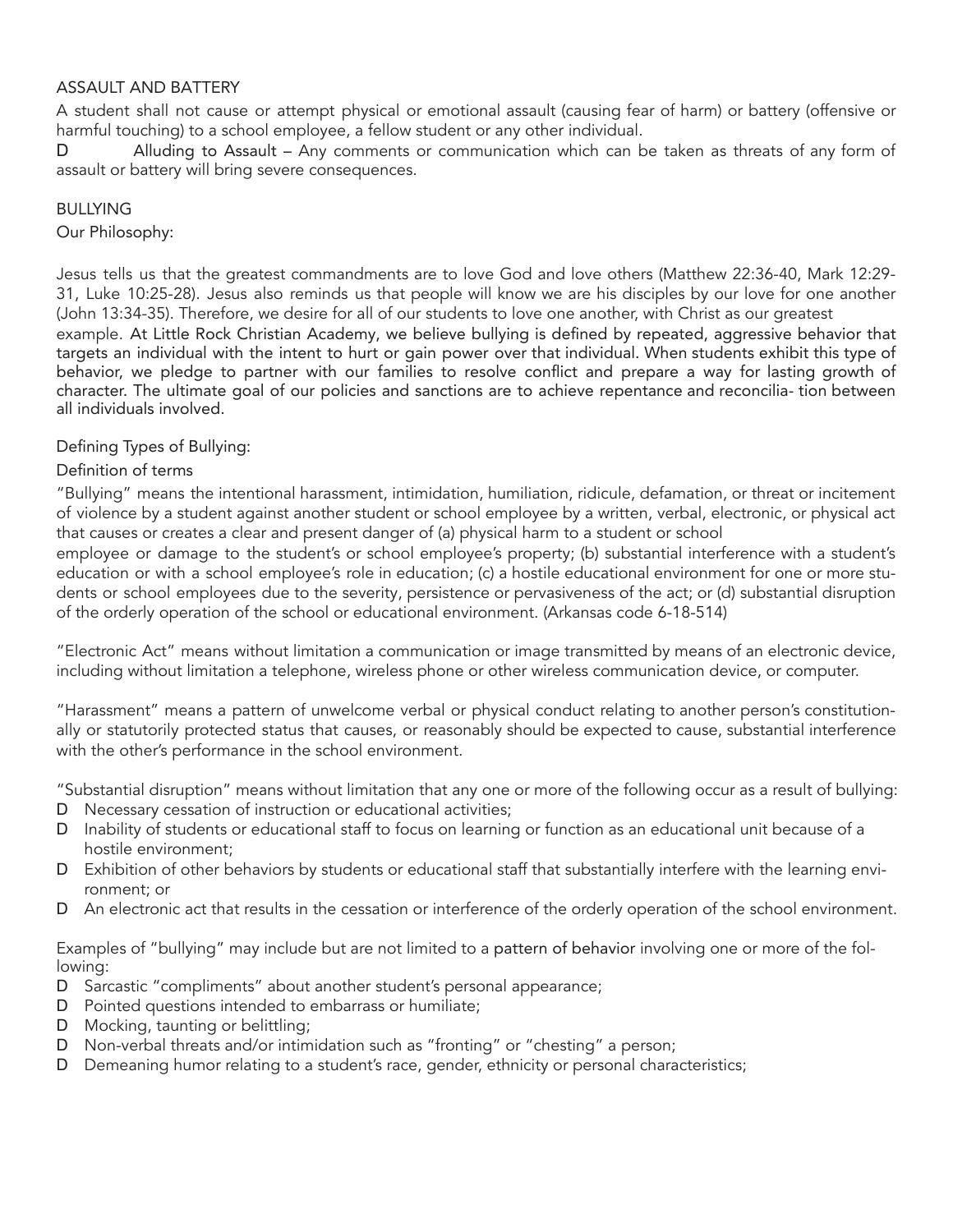#### ASSAULT AND BATTERY

A student shall not cause or attempt physical or emotional assault (causing fear of harm) or battery (offensive or harmful touching) to a school employee, a fellow student or any other individual.

D Alluding to Assault – Any comments or communication which can be taken as threats of any form of assault or battery will bring severe consequences.

# BULLYING

Our Philosophy:

Jesus tells us that the greatest commandments are to love God and love others (Matthew 22:36-40, Mark 12:29- 31, Luke 10:25-28). Jesus also reminds us that people will know we are his disciples by our love for one another (John 13:34-35). Therefore, we desire for all of our students to love one another, with Christ as our greatest example. At Little Rock Christian Academy, we believe bullying is defined by repeated, aggressive behavior that targets an individual with the intent to hurt or gain power over that individual. When students exhibit this type of behavior, we pledge to partner with our families to resolve conflict and prepare a way for lasting growth of character. The ultimate goal of our policies and sanctions are to achieve repentance and reconcilia- tion between all individuals involved.

#### Defining Types of Bullying:

#### Definition of terms

"Bullying" means the intentional harassment, intimidation, humiliation, ridicule, defamation, or threat or incitement of violence by a student against another student or school employee by a written, verbal, electronic, or physical act that causes or creates a clear and present danger of (a) physical harm to a student or school

employee or damage to the student's or school employee's property; (b) substantial interference with a student's education or with a school employee's role in education; (c) a hostile educational environment for one or more students or school employees due to the severity, persistence or pervasiveness of the act; or (d) substantial disruption of the orderly operation of the school or educational environment. (Arkansas code 6-18-514)

"Electronic Act" means without limitation a communication or image transmitted by means of an electronic device, including without limitation a telephone, wireless phone or other wireless communication device, or computer.

"Harassment" means a pattern of unwelcome verbal or physical conduct relating to another person's constitutionally or statutorily protected status that causes, or reasonably should be expected to cause, substantial interference with the other's performance in the school environment.

"Substantial disruption" means without limitation that any one or more of the following occur as a result of bullying:

- D Necessary cessation of instruction or educational activities;
- D Inability of students or educational staff to focus on learning or function as an educational unit because of a hostile environment;
- D Exhibition of other behaviors by students or educational staff that substantially interfere with the learning environment; or
- D An electronic act that results in the cessation or interference of the orderly operation of the school environment.

Examples of "bullying" may include but are not limited to a pattern of behavior involving one or more of the following:

- D Sarcastic "compliments" about another student's personal appearance;
- D Pointed questions intended to embarrass or humiliate;
- D Mocking, taunting or belittling;
- D Non-verbal threats and/or intimidation such as "fronting" or "chesting" a person;
- D Demeaning humor relating to a student's race, gender, ethnicity or personal characteristics;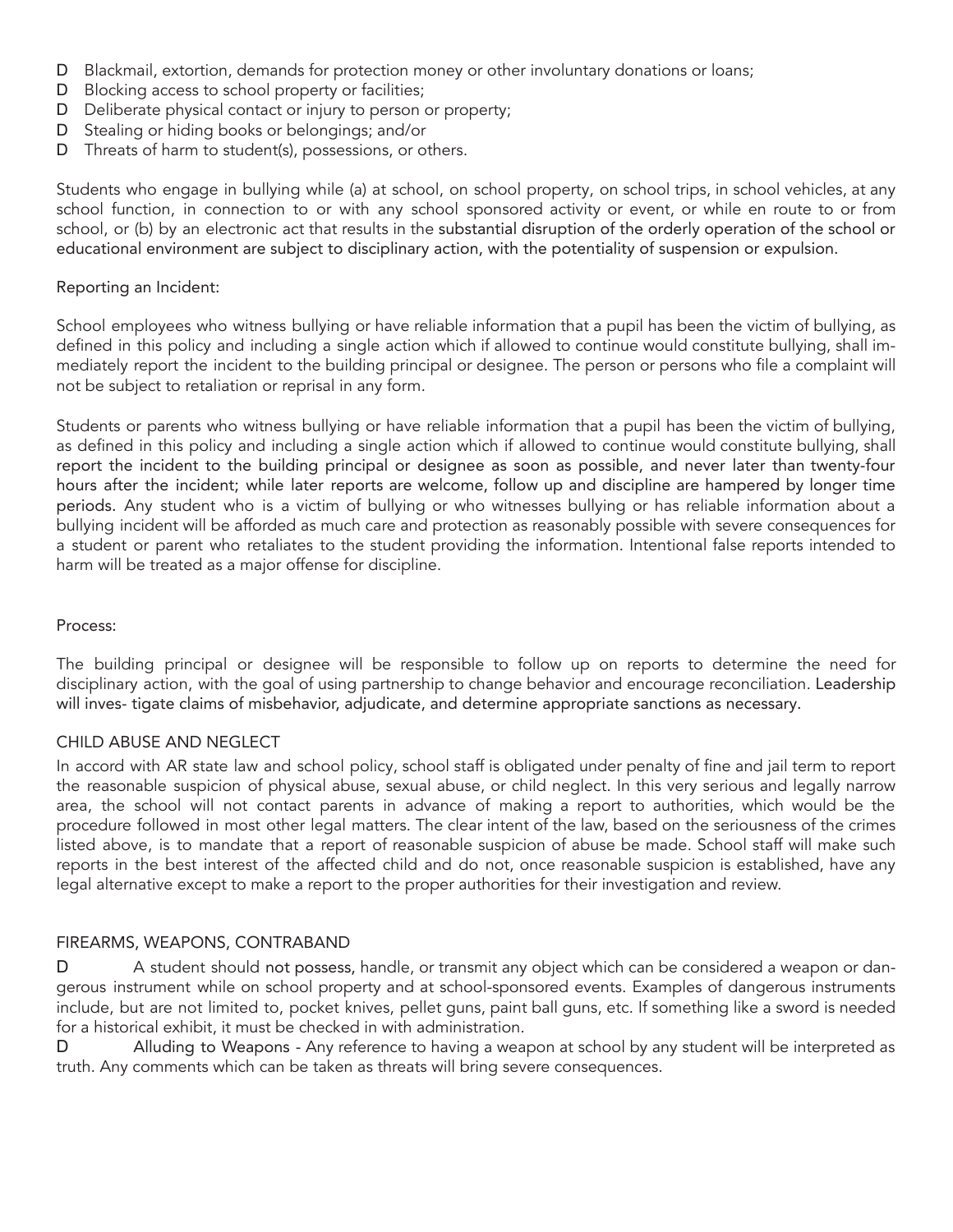- D Blackmail, extortion, demands for protection money or other involuntary donations or loans;
- D Blocking access to school property or facilities;
- D Deliberate physical contact or injury to person or property;
- D Stealing or hiding books or belongings; and/or
- D Threats of harm to student(s), possessions, or others.

Students who engage in bullying while (a) at school, on school property, on school trips, in school vehicles, at any school function, in connection to or with any school sponsored activity or event, or while en route to or from school, or (b) by an electronic act that results in the substantial disruption of the orderly operation of the school or educational environment are subject to disciplinary action, with the potentiality of suspension or expulsion.

#### Reporting an Incident:

School employees who witness bullying or have reliable information that a pupil has been the victim of bullying, as defined in this policy and including a single action which if allowed to continue would constitute bullying, shall immediately report the incident to the building principal or designee. The person or persons who file a complaint will not be subject to retaliation or reprisal in any form.

Students or parents who witness bullying or have reliable information that a pupil has been the victim of bullying, as defined in this policy and including a single action which if allowed to continue would constitute bullying, shall report the incident to the building principal or designee as soon as possible, and never later than twenty-four hours after the incident; while later reports are welcome, follow up and discipline are hampered by longer time periods. Any student who is a victim of bullying or who witnesses bullying or has reliable information about a bullying incident will be afforded as much care and protection as reasonably possible with severe consequences for a student or parent who retaliates to the student providing the information. Intentional false reports intended to harm will be treated as a major offense for discipline.

#### Process:

The building principal or designee will be responsible to follow up on reports to determine the need for disciplinary action, with the goal of using partnership to change behavior and encourage reconciliation. Leadership will inves- tigate claims of misbehavior, adjudicate, and determine appropriate sanctions as necessary.

#### CHILD ABUSE AND NEGLECT

In accord with AR state law and school policy, school staff is obligated under penalty of fine and jail term to report the reasonable suspicion of physical abuse, sexual abuse, or child neglect. In this very serious and legally narrow area, the school will not contact parents in advance of making a report to authorities, which would be the procedure followed in most other legal matters. The clear intent of the law, based on the seriousness of the crimes listed above, is to mandate that a report of reasonable suspicion of abuse be made. School staff will make such reports in the best interest of the affected child and do not, once reasonable suspicion is established, have any legal alternative except to make a report to the proper authorities for their investigation and review.

#### FIREARMS, WEAPONS, CONTRABAND

D A student should not possess, handle, or transmit any object which can be considered a weapon or dangerous instrument while on school property and at school-sponsored events. Examples of dangerous instruments include, but are not limited to, pocket knives, pellet guns, paint ball guns, etc. If something like a sword is needed for a historical exhibit, it must be checked in with administration.

D Alluding to Weapons - Any reference to having a weapon at school by any student will be interpreted as truth. Any comments which can be taken as threats will bring severe consequences.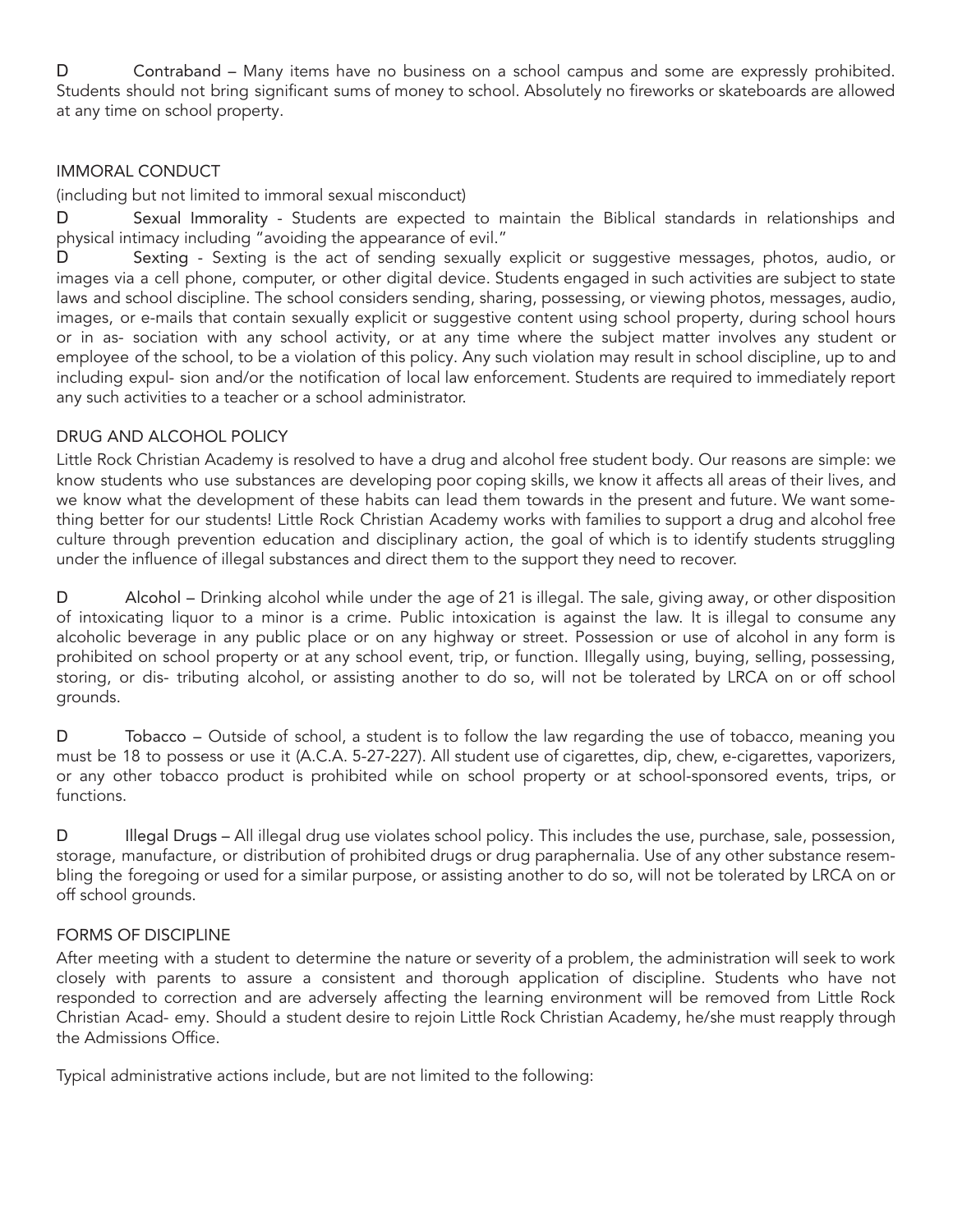D Contraband – Many items have no business on a school campus and some are expressly prohibited. Students should not bring significant sums of money to school. Absolutely no fireworks or skateboards are allowed at any time on school property.

# IMMORAL CONDUCT

(including but not limited to immoral sexual misconduct)

D Sexual Immorality - Students are expected to maintain the Biblical standards in relationships and physical intimacy including "avoiding the appearance of evil."

D Sexting - Sexting is the act of sending sexually explicit or suggestive messages, photos, audio, or images via a cell phone, computer, or other digital device. Students engaged in such activities are subject to state laws and school discipline. The school considers sending, sharing, possessing, or viewing photos, messages, audio, images, or e-mails that contain sexually explicit or suggestive content using school property, during school hours or in as- sociation with any school activity, or at any time where the subject matter involves any student or employee of the school, to be a violation of this policy. Any such violation may result in school discipline, up to and including expul- sion and/or the notification of local law enforcement. Students are required to immediately report any such activities to a teacher or a school administrator.

#### DRUG AND ALCOHOL POLICY

Little Rock Christian Academy is resolved to have a drug and alcohol free student body. Our reasons are simple: we know students who use substances are developing poor coping skills, we know it affects all areas of their lives, and we know what the development of these habits can lead them towards in the present and future. We want something better for our students! Little Rock Christian Academy works with families to support a drug and alcohol free culture through prevention education and disciplinary action, the goal of which is to identify students struggling under the influence of illegal substances and direct them to the support they need to recover.

D Alcohol – Drinking alcohol while under the age of 21 is illegal. The sale, giving away, or other disposition of intoxicating liquor to a minor is a crime. Public intoxication is against the law. It is illegal to consume any alcoholic beverage in any public place or on any highway or street. Possession or use of alcohol in any form is prohibited on school property or at any school event, trip, or function. Illegally using, buying, selling, possessing, storing, or dis- tributing alcohol, or assisting another to do so, will not be tolerated by LRCA on or off school grounds.

D Tobacco – Outside of school, a student is to follow the law regarding the use of tobacco, meaning you must be 18 to possess or use it (A.C.A. 5-27-227). All student use of cigarettes, dip, chew, e-cigarettes, vaporizers, or any other tobacco product is prohibited while on school property or at school-sponsored events, trips, or functions.

D Illegal Drugs – All illegal drug use violates school policy. This includes the use, purchase, sale, possession, storage, manufacture, or distribution of prohibited drugs or drug paraphernalia. Use of any other substance resembling the foregoing or used for a similar purpose, or assisting another to do so, will not be tolerated by LRCA on or off school grounds.

#### FORMS OF DISCIPLINE

After meeting with a student to determine the nature or severity of a problem, the administration will seek to work closely with parents to assure a consistent and thorough application of discipline. Students who have not responded to correction and are adversely affecting the learning environment will be removed from Little Rock Christian Acad- emy. Should a student desire to rejoin Little Rock Christian Academy, he/she must reapply through the Admissions Office.

Typical administrative actions include, but are not limited to the following: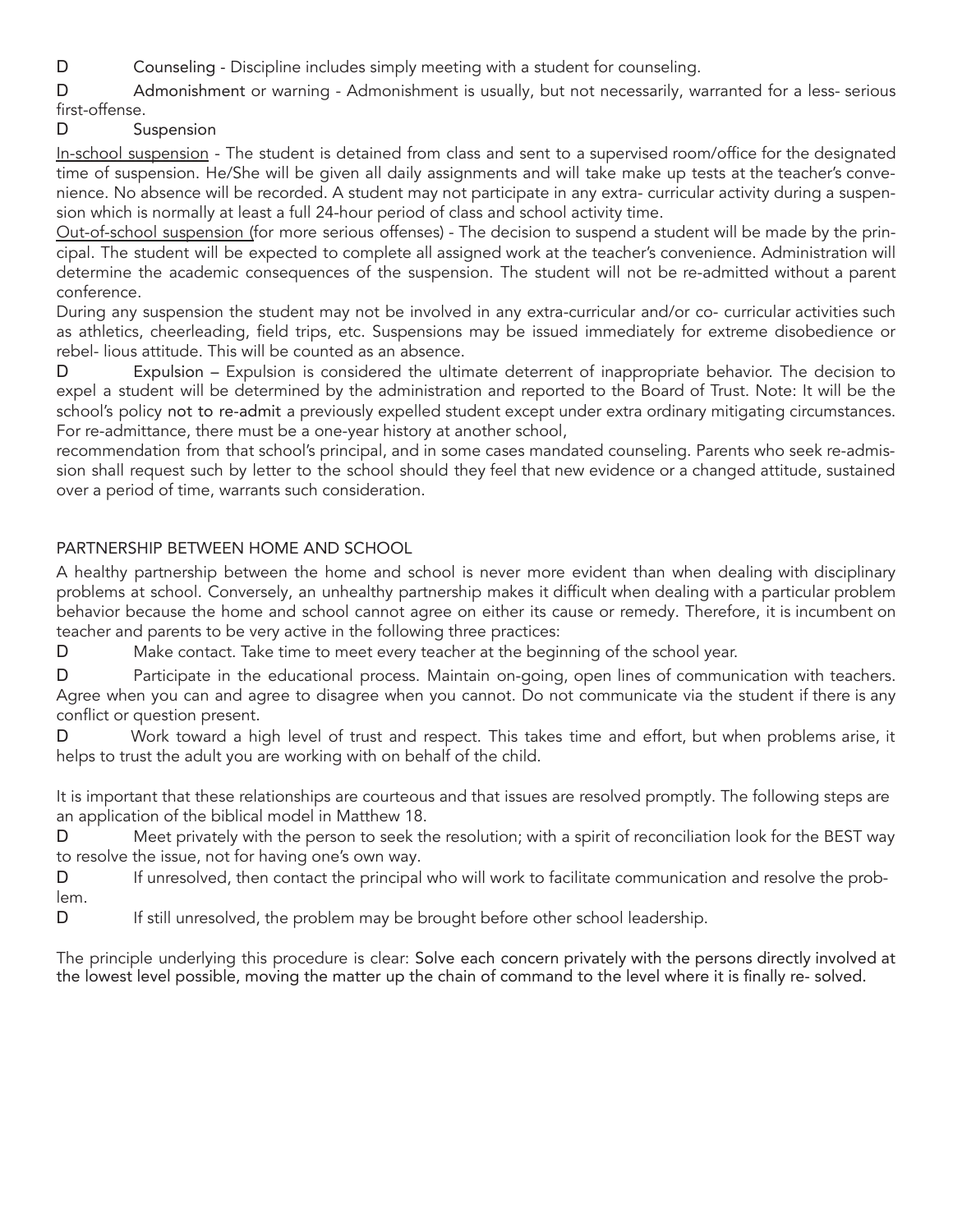- D Counseling Discipline includes simply meeting with a student for counseling.
- D Admonishment or warning Admonishment is usually, but not necessarily, warranted for a less- serious first-offense.
- D Suspension

In-school suspension - The student is detained from class and sent to a supervised room/office for the designated time of suspension. He/She will be given all daily assignments and will take make up tests at the teacher's convenience. No absence will be recorded. A student may not participate in any extra- curricular activity during a suspension which is normally at least a full 24-hour period of class and school activity time.

Out-of-school suspension (for more serious offenses) - The decision to suspend a student will be made by the principal. The student will be expected to complete all assigned work at the teacher's convenience. Administration will determine the academic consequences of the suspension. The student will not be re-admitted without a parent conference.

During any suspension the student may not be involved in any extra-curricular and/or co- curricular activities such as athletics, cheerleading, field trips, etc. Suspensions may be issued immediately for extreme disobedience or rebel- lious attitude. This will be counted as an absence.

D Expulsion – Expulsion is considered the ultimate deterrent of inappropriate behavior. The decision to expel a student will be determined by the administration and reported to the Board of Trust. Note: It will be the school's policy not to re-admit a previously expelled student except under extra ordinary mitigating circumstances. For re-admittance, there must be a one-year history at another school,

recommendation from that school's principal, and in some cases mandated counseling. Parents who seek re-admission shall request such by letter to the school should they feel that new evidence or a changed attitude, sustained over a period of time, warrants such consideration.

# PARTNERSHIP BETWEEN HOME AND SCHOOL

A healthy partnership between the home and school is never more evident than when dealing with disciplinary problems at school. Conversely, an unhealthy partnership makes it difficult when dealing with a particular problem behavior because the home and school cannot agree on either its cause or remedy. Therefore, it is incumbent on teacher and parents to be very active in the following three practices:

D Make contact. Take time to meet every teacher at the beginning of the school year.

D Participate in the educational process. Maintain on-going, open lines of communication with teachers. Agree when you can and agree to disagree when you cannot. Do not communicate via the student if there is any conflict or question present.

D Work toward a high level of trust and respect. This takes time and effort, but when problems arise, it helps to trust the adult you are working with on behalf of the child.

It is important that these relationships are courteous and that issues are resolved promptly. The following steps are an application of the biblical model in Matthew 18.

D Meet privately with the person to seek the resolution; with a spirit of reconciliation look for the BEST way to resolve the issue, not for having one's own way.

D If unresolved, then contact the principal who will work to facilitate communication and resolve the problem.

D If still unresolved, the problem may be brought before other school leadership.

The principle underlying this procedure is clear: Solve each concern privately with the persons directly involved at the lowest level possible, moving the matter up the chain of command to the level where it is finally re- solved.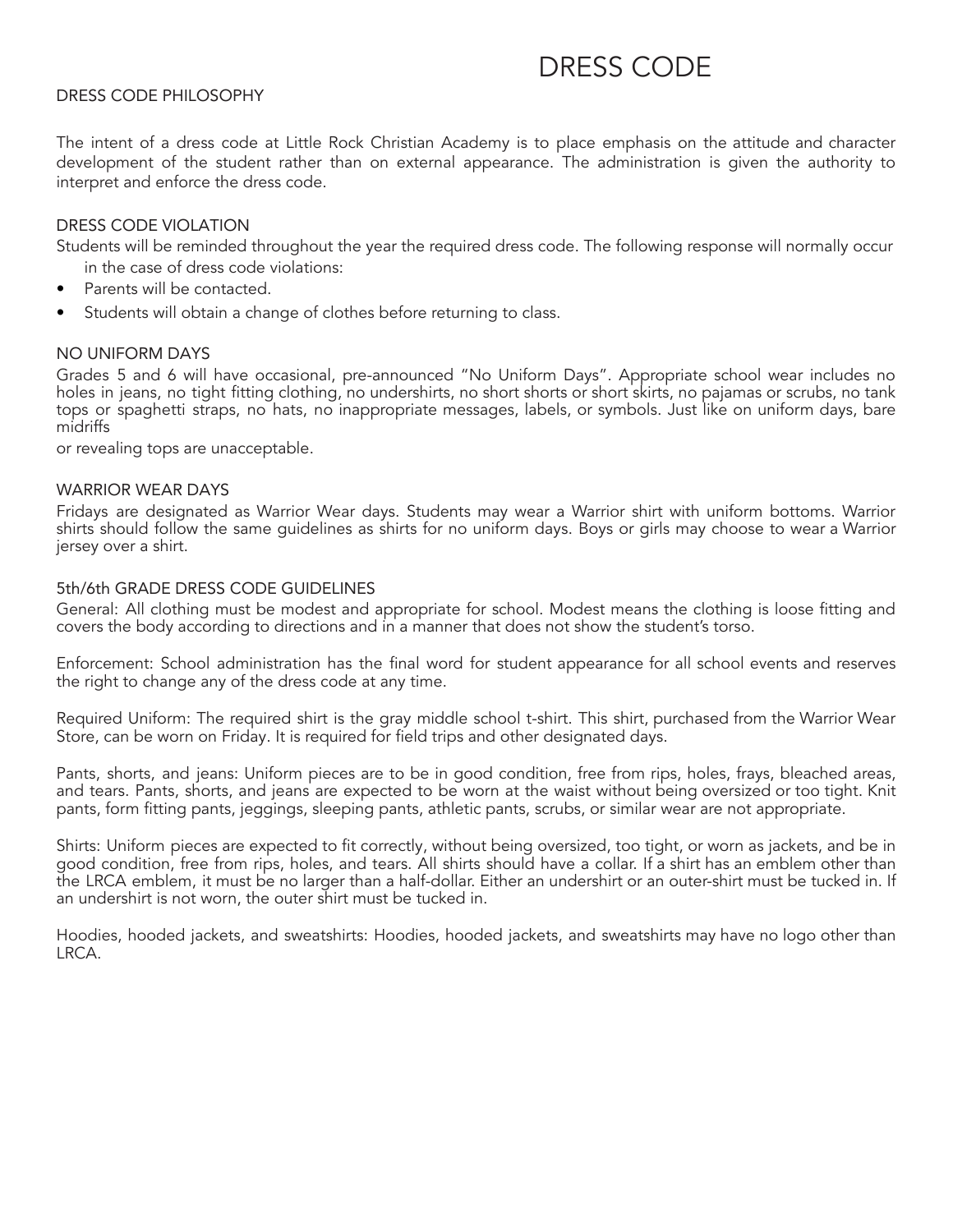# DRESS CODE

#### DRESS CODE PHILOSOPHY

The intent of a dress code at Little Rock Christian Academy is to place emphasis on the attitude and character development of the student rather than on external appearance. The administration is given the authority to interpret and enforce the dress code.

#### DRESS CODE VIOLATION

Students will be reminded throughout the year the required dress code. The following response will normally occur in the case of dress code violations:

- Parents will be contacted.
- Students will obtain a change of clothes before returning to class.

#### NO UNIFORM DAYS

Grades 5 and 6 will have occasional, pre-announced "No Uniform Days". Appropriate school wear includes no holes in jeans, no tight fitting clothing, no undershirts, no short shorts or short skirts, no pajamas or scrubs, no tank tops or spaghetti straps, no hats, no inappropriate messages, labels, or symbols. Just like on uniform days, bare midriffs

or revealing tops are unacceptable.

#### WARRIOR WEAR DAYS

Fridays are designated as Warrior Wear days. Students may wear a Warrior shirt with uniform bottoms. Warrior shirts should follow the same guidelines as shirts for no uniform days. Boys or girls may choose to wear a Warrior jersey over a shirt.

#### 5th/6th GRADE DRESS CODE GUIDELINES

General: All clothing must be modest and appropriate for school. Modest means the clothing is loose fitting and covers the body according to directions and in a manner that does not show the student's torso.

Enforcement: School administration has the final word for student appearance for all school events and reserves the right to change any of the dress code at any time.

Required Uniform: The required shirt is the gray middle school t-shirt. This shirt, purchased from the Warrior Wear Store, can be worn on Friday. It is required for field trips and other designated days.

Pants, shorts, and jeans: Uniform pieces are to be in good condition, free from rips, holes, frays, bleached areas, and tears. Pants, shorts, and jeans are expected to be worn at the waist without being oversized or too tight. Knit pants, form fitting pants, jeggings, sleeping pants, athletic pants, scrubs, or similar wear are not appropriate.

Shirts: Uniform pieces are expected to fit correctly, without being oversized, too tight, or worn as jackets, and be in good condition, free from rips, holes, and tears. All shirts should have a collar. If a shirt has an emblem other than the LRCA emblem, it must be no larger than a half-dollar. Either an undershirt or an outer-shirt must be tucked in. If an undershirt is not worn, the outer shirt must be tucked in.

Hoodies, hooded jackets, and sweatshirts: Hoodies, hooded jackets, and sweatshirts may have no logo other than LRCA.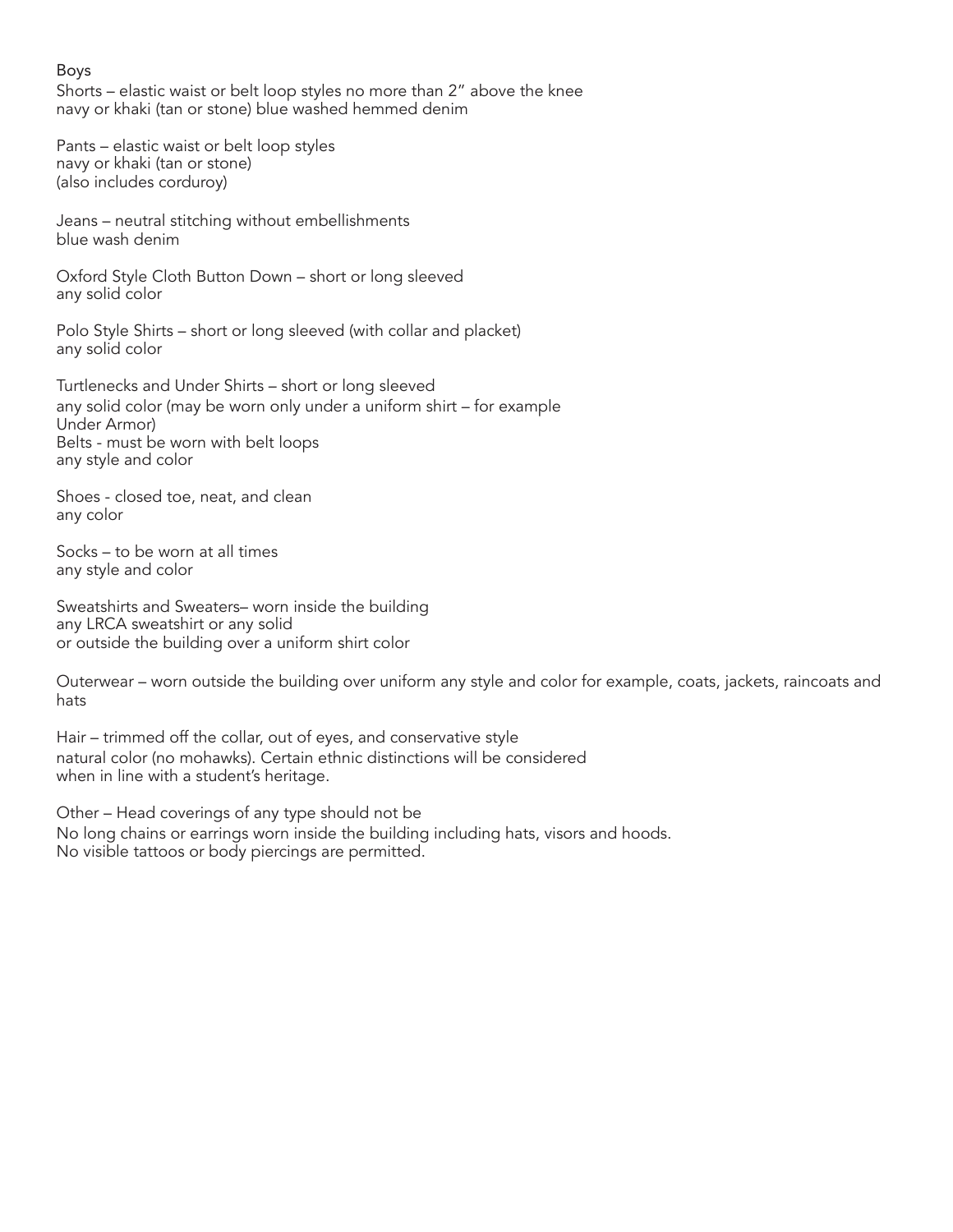#### Boys

Shorts – elastic waist or belt loop styles no more than 2" above the knee navy or khaki (tan or stone) blue washed hemmed denim

Pants – elastic waist or belt loop styles navy or khaki (tan or stone) (also includes corduroy)

Jeans – neutral stitching without embellishments blue wash denim

Oxford Style Cloth Button Down – short or long sleeved any solid color

Polo Style Shirts – short or long sleeved (with collar and placket) any solid color

Turtlenecks and Under Shirts – short or long sleeved any solid color (may be worn only under a uniform shirt – for example Under Armor) Belts - must be worn with belt loops any style and color

Shoes - closed toe, neat, and clean any color

Socks – to be worn at all times any style and color

Sweatshirts and Sweaters– worn inside the building any LRCA sweatshirt or any solid or outside the building over a uniform shirt color

Outerwear – worn outside the building over uniform any style and color for example, coats, jackets, raincoats and hats

Hair – trimmed off the collar, out of eyes, and conservative style natural color (no mohawks). Certain ethnic distinctions will be considered when in line with a student's heritage.

Other – Head coverings of any type should not be No long chains or earrings worn inside the building including hats, visors and hoods. No visible tattoos or body piercings are permitted.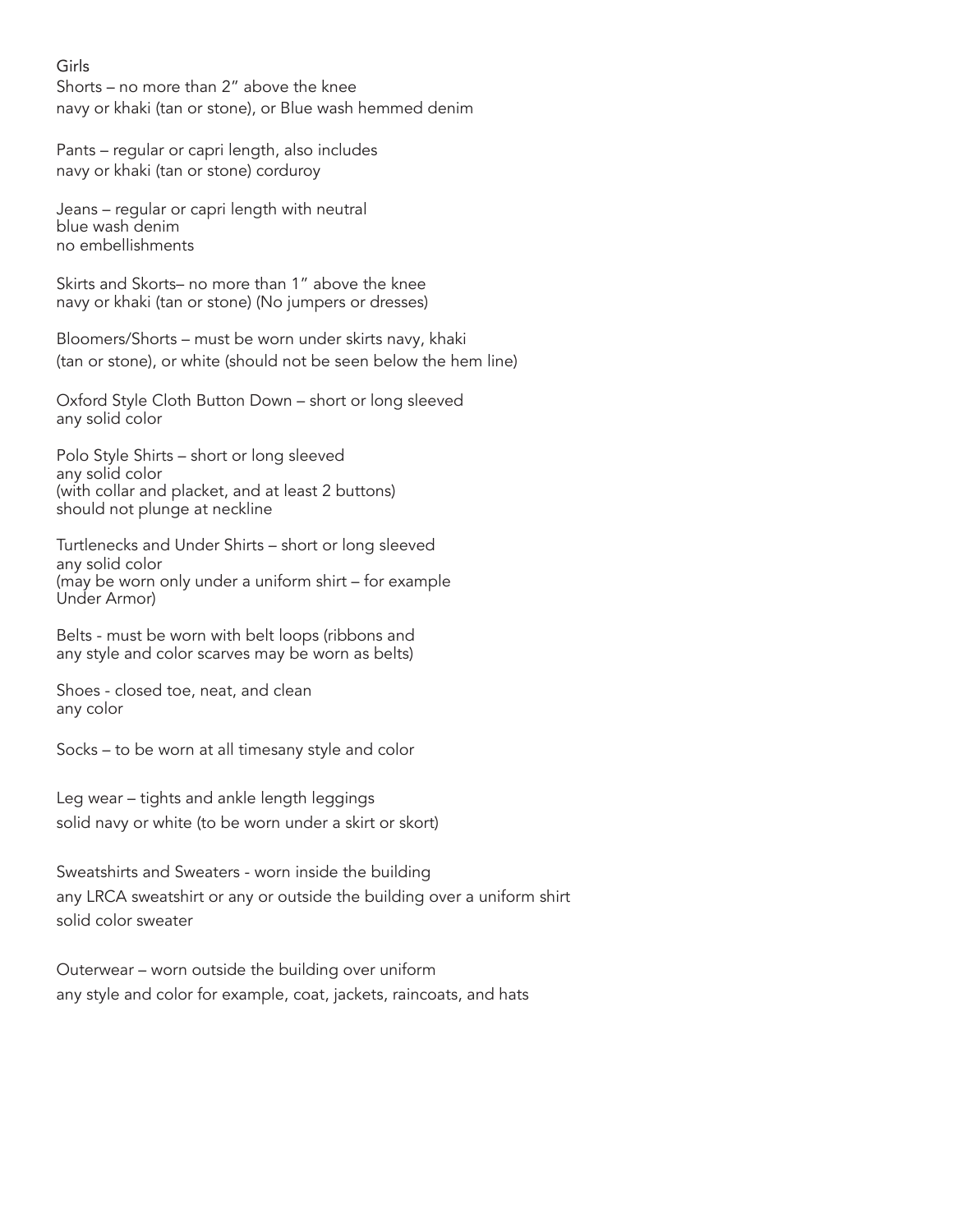#### Girls

Shorts – no more than 2" above the knee navy or khaki (tan or stone), or Blue wash hemmed denim

Pants – regular or capri length, also includes navy or khaki (tan or stone) corduroy

Jeans – regular or capri length with neutral blue wash denim no embellishments

Skirts and Skorts– no more than 1" above the knee navy or khaki (tan or stone) (No jumpers or dresses)

Bloomers/Shorts – must be worn under skirts navy, khaki (tan or stone), or white (should not be seen below the hem line)

Oxford Style Cloth Button Down – short or long sleeved any solid color

Polo Style Shirts – short or long sleeved any solid color (with collar and placket, and at least 2 buttons) should not plunge at neckline

Turtlenecks and Under Shirts – short or long sleeved any solid color (may be worn only under a uniform shirt – for example Under Armor)

Belts - must be worn with belt loops (ribbons and any style and color scarves may be worn as belts)

Shoes - closed toe, neat, and clean any color

Socks – to be worn at all timesany style and color

Leg wear – tights and ankle length leggings solid navy or white (to be worn under a skirt or skort)

Sweatshirts and Sweaters - worn inside the building any LRCA sweatshirt or any or outside the building over a uniform shirt solid color sweater

Outerwear – worn outside the building over uniform any style and color for example, coat, jackets, raincoats, and hats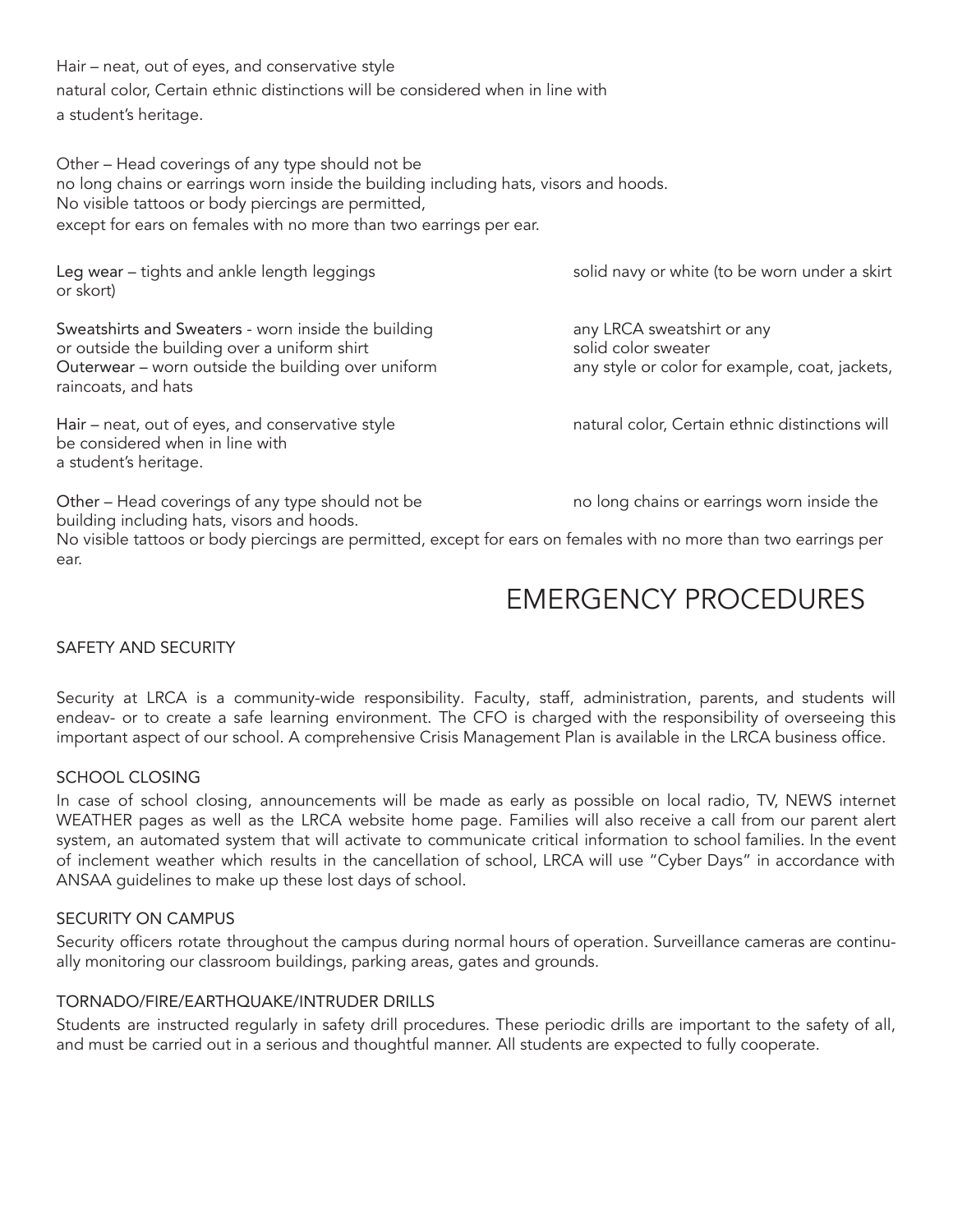Hair – neat, out of eyes, and conservative style natural color, Certain ethnic distinctions will be considered when in line with a student's heritage.

Other – Head coverings of any type should not be no long chains or earrings worn inside the building including hats, visors and hoods. No visible tattoos or body piercings are permitted, except for ears on females with no more than two earrings per ear.

Leg wear – tights and ankle length leggings solid navy or white (to be worn under a skirt or skort)

Sweatshirts and Sweaters - worn inside the building any any LRCA sweatshirt or any or outside the building over a uniform shirt solid color sweater Outerwear – worn outside the building over uniform any style or color for example, coat, jackets, raincoats, and hats

Hair – neat, out of eyes, and conservative style natural color, Certain ethnic distinctions will be considered when in line with a student's heritage.

Other – Head coverings of any type should not be no long chains or earrings worn inside the building including hats, visors and hoods.

No visible tattoos or body piercings are permitted, except for ears on females with no more than two earrings per ear.

# EMERGENCY PROCEDURES

# SAFETY AND SECURITY

Security at LRCA is a community-wide responsibility. Faculty, staff, administration, parents, and students will endeav- or to create a safe learning environment. The CFO is charged with the responsibility of overseeing this important aspect of our school. A comprehensive Crisis Management Plan is available in the LRCA business office.

# SCHOOL CLOSING

In case of school closing, announcements will be made as early as possible on local radio, TV, NEWS internet WEATHER pages as well as the LRCA website home page. Families will also receive a call from our parent alert system, an automated system that will activate to communicate critical information to school families. In the event of inclement weather which results in the cancellation of school, LRCA will use "Cyber Days" in accordance with ANSAA guidelines to make up these lost days of school.

# SECURITY ON CAMPUS

Security officers rotate throughout the campus during normal hours of operation. Surveillance cameras are continually monitoring our classroom buildings, parking areas, gates and grounds.

# TORNADO/FIRE/EARTHQUAKE/INTRUDER DRILLS

Students are instructed regularly in safety drill procedures. These periodic drills are important to the safety of all, and must be carried out in a serious and thoughtful manner. All students are expected to fully cooperate.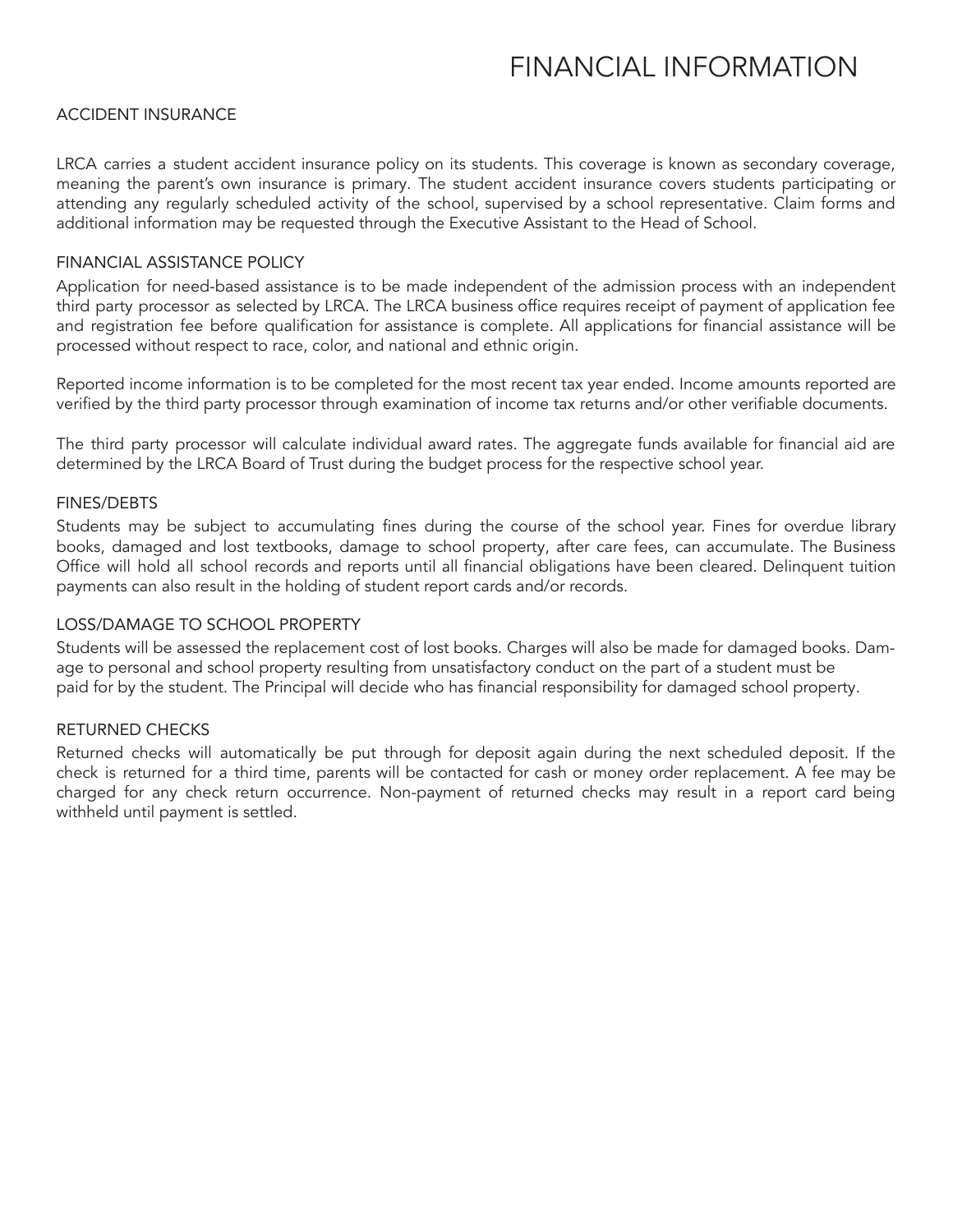# FINANCIAL INFORMATION

#### ACCIDENT INSURANCE

LRCA carries a student accident insurance policy on its students. This coverage is known as secondary coverage, meaning the parent's own insurance is primary. The student accident insurance covers students participating or attending any regularly scheduled activity of the school, supervised by a school representative. Claim forms and additional information may be requested through the Executive Assistant to the Head of School.

#### FINANCIAL ASSISTANCE POLICY

Application for need-based assistance is to be made independent of the admission process with an independent third party processor as selected by LRCA. The LRCA business office requires receipt of payment of application fee and registration fee before qualification for assistance is complete. All applications for financial assistance will be processed without respect to race, color, and national and ethnic origin.

Reported income information is to be completed for the most recent tax year ended. Income amounts reported are verified by the third party processor through examination of income tax returns and/or other verifiable documents.

The third party processor will calculate individual award rates. The aggregate funds available for financial aid are determined by the LRCA Board of Trust during the budget process for the respective school year.

#### FINES/DEBTS

Students may be subject to accumulating fines during the course of the school year. Fines for overdue library books, damaged and lost textbooks, damage to school property, after care fees, can accumulate. The Business Office will hold all school records and reports until all financial obligations have been cleared. Delinquent tuition payments can also result in the holding of student report cards and/or records.

#### LOSS/DAMAGE TO SCHOOL PROPERTY

Students will be assessed the replacement cost of lost books. Charges will also be made for damaged books. Damage to personal and school property resulting from unsatisfactory conduct on the part of a student must be paid for by the student. The Principal will decide who has financial responsibility for damaged school property.

#### RETURNED CHECKS

Returned checks will automatically be put through for deposit again during the next scheduled deposit. If the check is returned for a third time, parents will be contacted for cash or money order replacement. A fee may be charged for any check return occurrence. Non-payment of returned checks may result in a report card being withheld until payment is settled.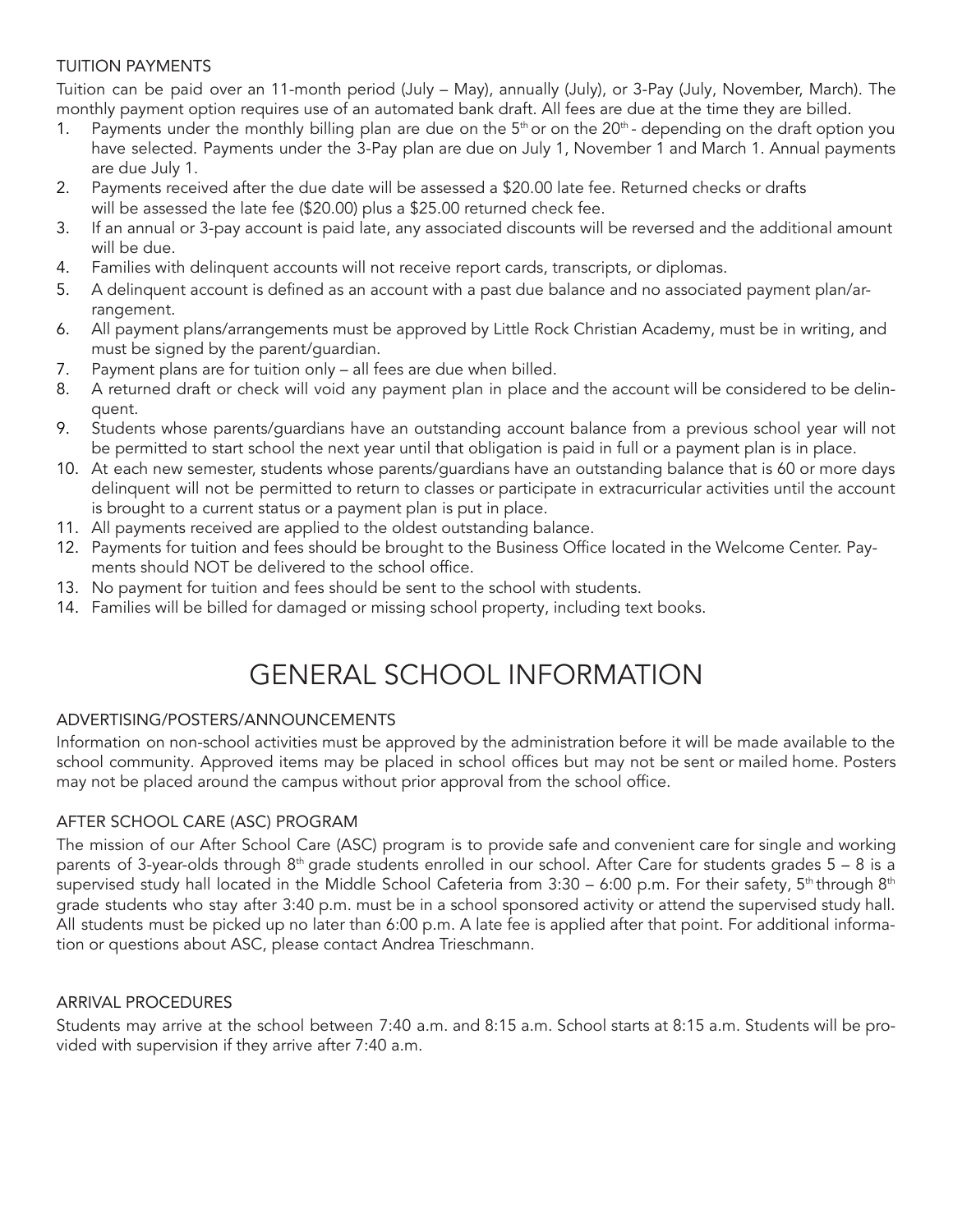# TUITION PAYMENTS

Tuition can be paid over an 11-month period (July – May), annually (July), or 3-Pay (July, November, March). The monthly payment option requires use of an automated bank draft. All fees are due at the time they are billed.

- 1. Payments under the monthly billing plan are due on the  $5<sup>th</sup>$  or on the 20<sup>th</sup> depending on the draft option you have selected. Payments under the 3-Pay plan are due on July 1, November 1 and March 1. Annual payments are due July 1.
- 2. Payments received after the due date will be assessed a \$20.00 late fee. Returned checks or drafts will be assessed the late fee (\$20.00) plus a \$25.00 returned check fee.
- 3. If an annual or 3-pay account is paid late, any associated discounts will be reversed and the additional amount will be due.
- 4. Families with delinquent accounts will not receive report cards, transcripts, or diplomas.
- 5. A delinquent account is defined as an account with a past due balance and no associated payment plan/arrangement.
- 6. All payment plans/arrangements must be approved by Little Rock Christian Academy, must be in writing, and must be signed by the parent/guardian.
- 7. Payment plans are for tuition only all fees are due when billed.
- 8. A returned draft or check will void any payment plan in place and the account will be considered to be delinquent.
- 9. Students whose parents/guardians have an outstanding account balance from a previous school year will not be permitted to start school the next year until that obligation is paid in full or a payment plan is in place.
- 10. At each new semester, students whose parents/guardians have an outstanding balance that is 60 or more days delinquent will not be permitted to return to classes or participate in extracurricular activities until the account is brought to a current status or a payment plan is put in place.
- 11. All payments received are applied to the oldest outstanding balance.
- 12. Payments for tuition and fees should be brought to the Business Office located in the Welcome Center. Payments should NOT be delivered to the school office.
- 13. No payment for tuition and fees should be sent to the school with students.
- 14. Families will be billed for damaged or missing school property, including text books.

# GENERAL SCHOOL INFORMATION

# ADVERTISING/POSTERS/ANNOUNCEMENTS

Information on non-school activities must be approved by the administration before it will be made available to the school community. Approved items may be placed in school offices but may not be sent or mailed home. Posters may not be placed around the campus without prior approval from the school office.

# AFTER SCHOOL CARE (ASC) PROGRAM

The mission of our After School Care (ASC) program is to provide safe and convenient care for single and working parents of 3-year-olds through 8<sup>th</sup> grade students enrolled in our school. After Care for students grades 5 – 8 is a supervised study hall located in the Middle School Cafeteria from 3:30 – 6:00 p.m. For their safety, 5<sup>th</sup>through 8<sup>th</sup> grade students who stay after 3:40 p.m. must be in a school sponsored activity or attend the supervised study hall. All students must be picked up no later than 6:00 p.m. A late fee is applied after that point. For additional information or questions about ASC, please contact Andrea Trieschmann.

# ARRIVAL PROCEDURES

Students may arrive at the school between 7:40 a.m. and 8:15 a.m. School starts at 8:15 a.m. Students will be provided with supervision if they arrive after 7:40 a.m.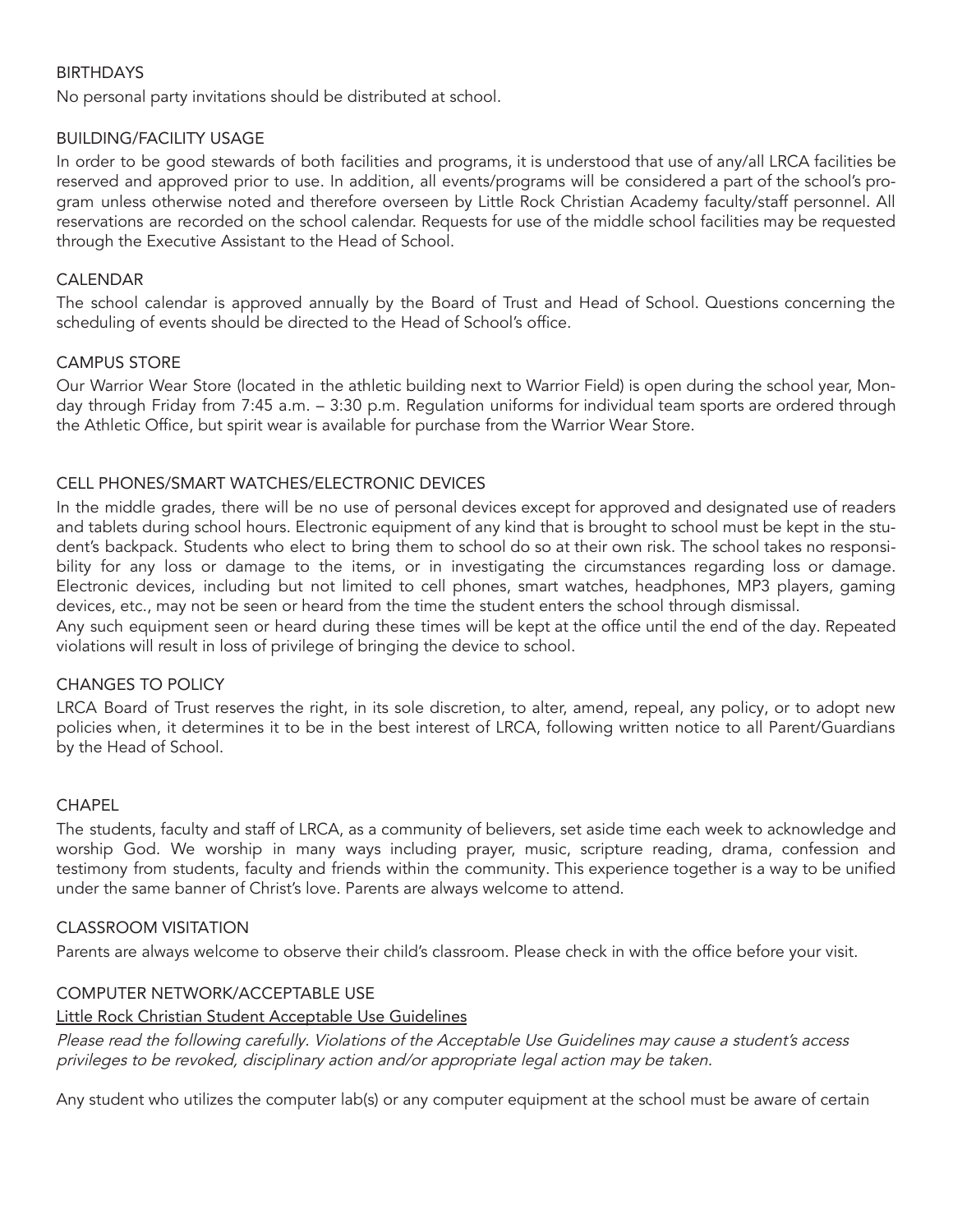# BIRTHDAYS

No personal party invitations should be distributed at school.

#### BUILDING/FACILITY USAGE

In order to be good stewards of both facilities and programs, it is understood that use of any/all LRCA facilities be reserved and approved prior to use. In addition, all events/programs will be considered a part of the school's program unless otherwise noted and therefore overseen by Little Rock Christian Academy faculty/staff personnel. All reservations are recorded on the school calendar. Requests for use of the middle school facilities may be requested through the Executive Assistant to the Head of School.

# CALENDAR

The school calendar is approved annually by the Board of Trust and Head of School. Questions concerning the scheduling of events should be directed to the Head of School's office.

#### CAMPUS STORE

Our Warrior Wear Store (located in the athletic building next to Warrior Field) is open during the school year, Monday through Friday from 7:45 a.m. – 3:30 p.m. Regulation uniforms for individual team sports are ordered through the Athletic Office, but spirit wear is available for purchase from the Warrior Wear Store.

#### CELL PHONES/SMART WATCHES/ELECTRONIC DEVICES

In the middle grades, there will be no use of personal devices except for approved and designated use of readers and tablets during school hours. Electronic equipment of any kind that is brought to school must be kept in the student's backpack. Students who elect to bring them to school do so at their own risk. The school takes no responsibility for any loss or damage to the items, or in investigating the circumstances regarding loss or damage. Electronic devices, including but not limited to cell phones, smart watches, headphones, MP3 players, gaming devices, etc., may not be seen or heard from the time the student enters the school through dismissal.

Any such equipment seen or heard during these times will be kept at the office until the end of the day. Repeated violations will result in loss of privilege of bringing the device to school.

#### CHANGES TO POLICY

LRCA Board of Trust reserves the right, in its sole discretion, to alter, amend, repeal, any policy, or to adopt new policies when, it determines it to be in the best interest of LRCA, following written notice to all Parent/Guardians by the Head of School.

#### **CHAPEL**

The students, faculty and staff of LRCA, as a community of believers, set aside time each week to acknowledge and worship God. We worship in many ways including prayer, music, scripture reading, drama, confession and testimony from students, faculty and friends within the community. This experience together is a way to be unified under the same banner of Christ's love. Parents are always welcome to attend.

#### CLASSROOM VISITATION

Parents are always welcome to observe their child's classroom. Please check in with the office before your visit.

#### COMPUTER NETWORK/ACCEPTABLE USE

#### Little Rock Christian Student Acceptable Use Guidelines

Please read the following carefully. Violations of the Acceptable Use Guidelines may cause <sup>a</sup> student's access privileges to be revoked, disciplinary action and/or appropriate legal action may be taken.

Any student who utilizes the computer lab(s) or any computer equipment at the school must be aware of certain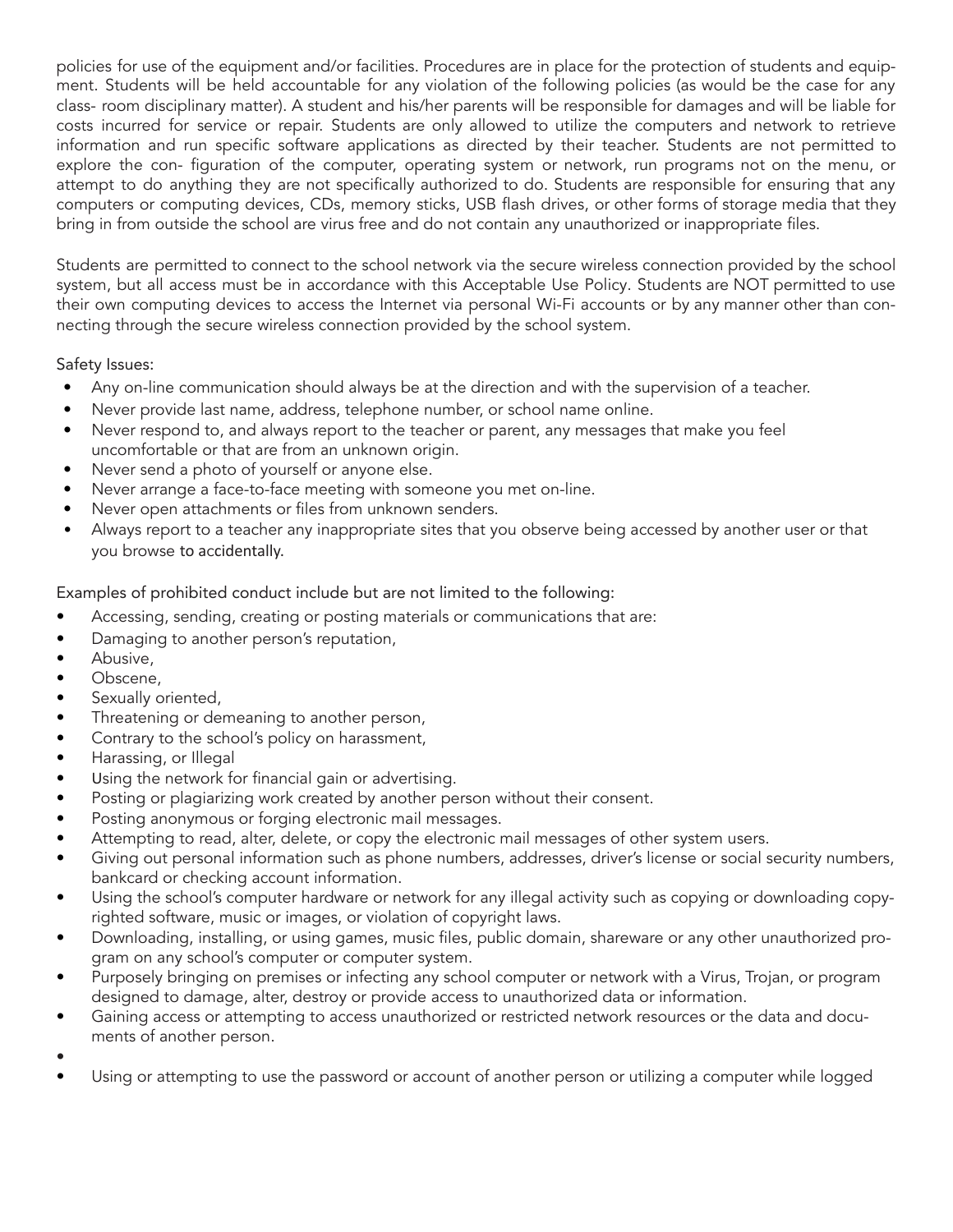policies for use of the equipment and/or facilities. Procedures are in place for the protection of students and equipment. Students will be held accountable for any violation of the following policies (as would be the case for any class- room disciplinary matter). A student and his/her parents will be responsible for damages and will be liable for costs incurred for service or repair. Students are only allowed to utilize the computers and network to retrieve information and run specific software applications as directed by their teacher. Students are not permitted to explore the con- figuration of the computer, operating system or network, run programs not on the menu, or attempt to do anything they are not specifically authorized to do. Students are responsible for ensuring that any computers or computing devices, CDs, memory sticks, USB flash drives, or other forms of storage media that they bring in from outside the school are virus free and do not contain any unauthorized or inappropriate files.

Students are permitted to connect to the school network via the secure wireless connection provided by the school system, but all access must be in accordance with this Acceptable Use Policy. Students are NOT permitted to use their own computing devices to access the Internet via personal Wi-Fi accounts or by any manner other than connecting through the secure wireless connection provided by the school system.

Safety Issues:

- Any on-line communication should always be at the direction and with the supervision of a teacher.
- Never provide last name, address, telephone number, or school name online.
- Never respond to, and always report to the teacher or parent, any messages that make you feel uncomfortable or that are from an unknown origin.
- Never send a photo of yourself or anyone else.
- Never arrange a face-to-face meeting with someone you met on-line.
- Never open attachments or files from unknown senders.
- Always report to a teacher any inappropriate sites that you observe being accessed by another user or that you browse to accidentally.

Examples of prohibited conduct include but are not limited to the following:

- Accessing, sending, creating or posting materials or communications that are:
- Damaging to another person's reputation,
- Abusive.
- Obscene,
- Sexually oriented,
- Threatening or demeaning to another person,
- Contrary to the school's policy on harassment,
- Harassing, or Illegal
- Using the network for financial gain or advertising.
- Posting or plagiarizing work created by another person without their consent.
- Posting anonymous or forging electronic mail messages.
- Attempting to read, alter, delete, or copy the electronic mail messages of other system users.
- Giving out personal information such as phone numbers, addresses, driver's license or social security numbers, bankcard or checking account information.
- Using the school's computer hardware or network for any illegal activity such as copying or downloading copyrighted software, music or images, or violation of copyright laws.
- Downloading, installing, or using games, music files, public domain, shareware or any other unauthorized program on any school's computer or computer system.
- Purposely bringing on premises or infecting any school computer or network with a Virus, Trojan, or program designed to damage, alter, destroy or provide access to unauthorized data or information.
- Gaining access or attempting to access unauthorized or restricted network resources or the data and documents of another person.
- •
- Using or attempting to use the password or account of another person or utilizing a computer while logged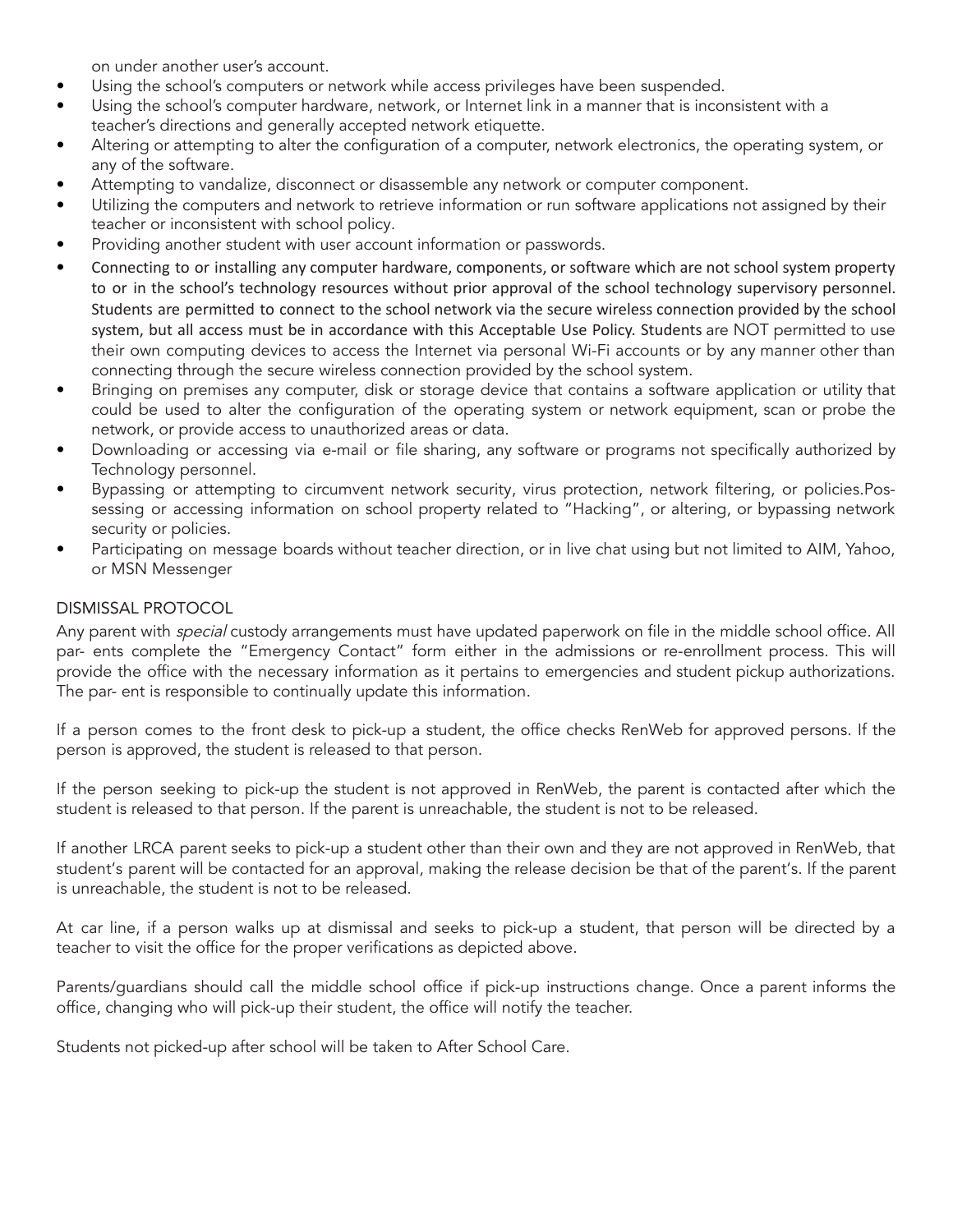on under another user's account.

- Using the school's computers or network while access privileges have been suspended.
- Using the school's computer hardware, network, or Internet link in a manner that is inconsistent with a teacher's directions and generally accepted network etiquette.
- Altering or attempting to alter the configuration of a computer, network electronics, the operating system, or any of the software.
- Attempting to vandalize, disconnect or disassemble any network or computer component.
- Utilizing the computers and network to retrieve information or run software applications not assigned by their teacher or inconsistent with school policy.
- Providing another student with user account information or passwords.
- Connecting to or installing any computer hardware, components, or software which are not school system property to or in the school's technology resources without prior approval of the school technology supervisory personnel. Students are permitted to connect to the school network via the secure wireless connection provided by the school system, but all access must be in accordance with this Acceptable Use Policy. Students are NOT permitted to use their own computing devices to access the Internet via personal Wi-Fi accounts or by any manner other than connecting through the secure wireless connection provided by the school system.
- Bringing on premises any computer, disk or storage device that contains a software application or utility that could be used to alter the configuration of the operating system or network equipment, scan or probe the network, or provide access to unauthorized areas or data.
- Downloading or accessing via e-mail or file sharing, any software or programs not specifically authorized by Technology personnel.
- Bypassing or attempting to circumvent network security, virus protection, network filtering, or policies.Possessing or accessing information on school property related to "Hacking", or altering, or bypassing network security or policies.
- Participating on message boards without teacher direction, or in live chat using but not limited to AIM, Yahoo, or MSN Messenger

# DISMISSAL PROTOCOL

Any parent with *special* custody arrangements must have updated paperwork on file in the middle school office. All par- ents complete the "Emergency Contact" form either in the admissions or re-enrollment process. This will provide the office with the necessary information as it pertains to emergencies and student pickup authorizations. The par- ent is responsible to continually update this information.

If a person comes to the front desk to pick-up a student, the office checks RenWeb for approved persons. If the person is approved, the student is released to that person.

If the person seeking to pick-up the student is not approved in RenWeb, the parent is contacted after which the student is released to that person. If the parent is unreachable, the student is not to be released.

If another LRCA parent seeks to pick-up a student other than their own and they are not approved in RenWeb, that student's parent will be contacted for an approval, making the release decision be that of the parent's. If the parent is unreachable, the student is not to be released.

At car line, if a person walks up at dismissal and seeks to pick-up a student, that person will be directed by a teacher to visit the office for the proper verifications as depicted above.

Parents/guardians should call the middle school office if pick-up instructions change. Once a parent informs the office, changing who will pick-up their student, the office will notify the teacher.

Students not picked-up after school will be taken to After School Care.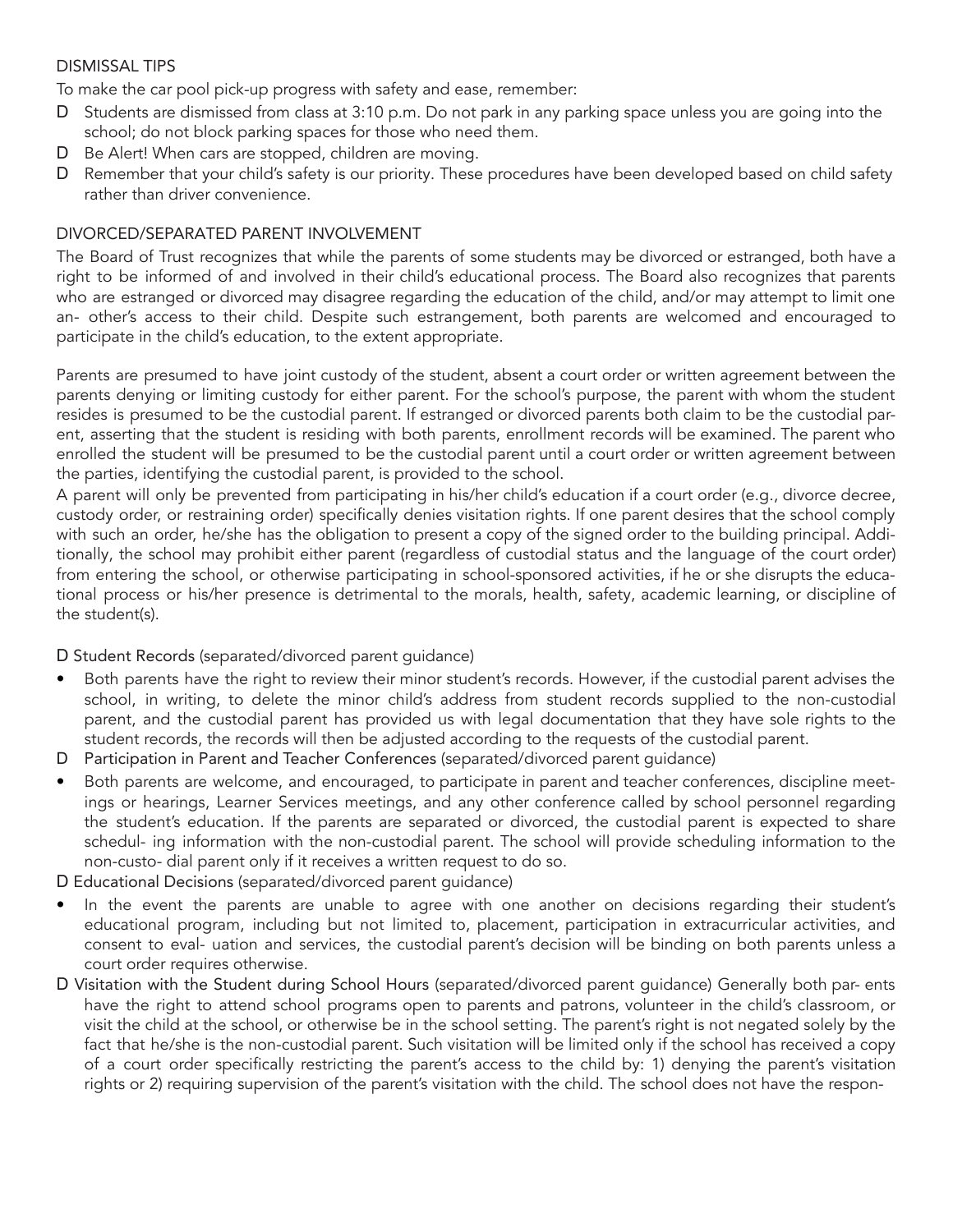#### DISMISSAL TIPS

To make the car pool pick-up progress with safety and ease, remember:

- D Students are dismissed from class at 3:10 p.m. Do not park in any parking space unless you are going into the school; do not block parking spaces for those who need them.
- D Be Alert! When cars are stopped, children are moving.
- D Remember that your child's safety is our priority. These procedures have been developed based on child safety rather than driver convenience.

#### DIVORCED/SEPARATED PARENT INVOLVEMENT

The Board of Trust recognizes that while the parents of some students may be divorced or estranged, both have a right to be informed of and involved in their child's educational process. The Board also recognizes that parents who are estranged or divorced may disagree regarding the education of the child, and/or may attempt to limit one an- other's access to their child. Despite such estrangement, both parents are welcomed and encouraged to participate in the child's education, to the extent appropriate.

Parents are presumed to have joint custody of the student, absent a court order or written agreement between the parents denying or limiting custody for either parent. For the school's purpose, the parent with whom the student resides is presumed to be the custodial parent. If estranged or divorced parents both claim to be the custodial parent, asserting that the student is residing with both parents, enrollment records will be examined. The parent who enrolled the student will be presumed to be the custodial parent until a court order or written agreement between the parties, identifying the custodial parent, is provided to the school.

A parent will only be prevented from participating in his/her child's education if a court order (e.g., divorce decree, custody order, or restraining order) specifically denies visitation rights. If one parent desires that the school comply with such an order, he/she has the obligation to present a copy of the signed order to the building principal. Additionally, the school may prohibit either parent (regardless of custodial status and the language of the court order) from entering the school, or otherwise participating in school-sponsored activities, if he or she disrupts the educational process or his/her presence is detrimental to the morals, health, safety, academic learning, or discipline of the student(s).

D Student Records (separated/divorced parent guidance)

- Both parents have the right to review their minor student's records. However, if the custodial parent advises the school, in writing, to delete the minor child's address from student records supplied to the non-custodial parent, and the custodial parent has provided us with legal documentation that they have sole rights to the student records, the records will then be adjusted according to the requests of the custodial parent.
- D Participation in Parent and Teacher Conferences (separated/divorced parent guidance)
- Both parents are welcome, and encouraged, to participate in parent and teacher conferences, discipline meetings or hearings, Learner Services meetings, and any other conference called by school personnel regarding the student's education. If the parents are separated or divorced, the custodial parent is expected to share schedul- ing information with the non-custodial parent. The school will provide scheduling information to the non-custo- dial parent only if it receives a written request to do so.

D Educational Decisions (separated/divorced parent guidance)

- In the event the parents are unable to agree with one another on decisions regarding their student's educational program, including but not limited to, placement, participation in extracurricular activities, and consent to eval- uation and services, the custodial parent's decision will be binding on both parents unless a court order requires otherwise.
- D Visitation with the Student during School Hours (separated/divorced parent guidance) Generally both par- ents have the right to attend school programs open to parents and patrons, volunteer in the child's classroom, or visit the child at the school, or otherwise be in the school setting. The parent's right is not negated solely by the fact that he/she is the non-custodial parent. Such visitation will be limited only if the school has received a copy of a court order specifically restricting the parent's access to the child by: 1) denying the parent's visitation rights or 2) requiring supervision of the parent's visitation with the child. The school does not have the respon-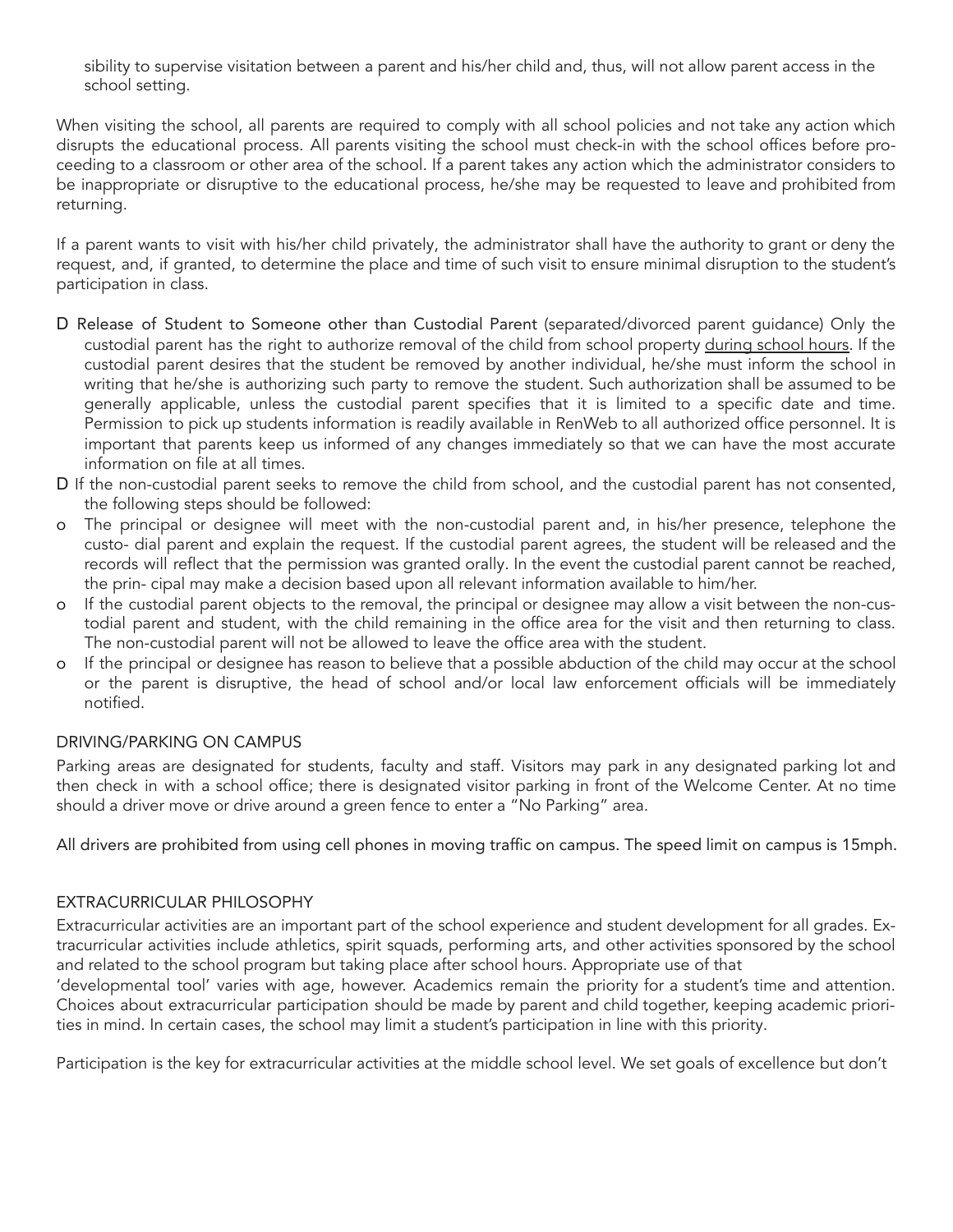sibility to supervise visitation between a parent and his/her child and, thus, will not allow parent access in the school setting.

When visiting the school, all parents are required to comply with all school policies and not take any action which disrupts the educational process. All parents visiting the school must check-in with the school offices before proceeding to a classroom or other area of the school. If a parent takes any action which the administrator considers to be inappropriate or disruptive to the educational process, he/she may be requested to leave and prohibited from returning.

If a parent wants to visit with his/her child privately, the administrator shall have the authority to grant or deny the request, and, if granted, to determine the place and time of such visit to ensure minimal disruption to the student's participation in class.

- D Release of Student to Someone other than Custodial Parent (separated/divorced parent guidance) Only the custodial parent has the right to authorize removal of the child from school property during school hours. If the custodial parent desires that the student be removed by another individual, he/she must inform the school in writing that he/she is authorizing such party to remove the student. Such authorization shall be assumed to be generally applicable, unless the custodial parent specifies that it is limited to a specific date and time. Permission to pick up students information is readily available in RenWeb to all authorized office personnel. It is important that parents keep us informed of any changes immediately so that we can have the most accurate information on file at all times.
- D If the non-custodial parent seeks to remove the child from school, and the custodial parent has not consented, the following steps should be followed:
- o The principal or designee will meet with the non-custodial parent and, in his/her presence, telephone the custo- dial parent and explain the request. If the custodial parent agrees, the student will be released and the records will reflect that the permission was granted orally. In the event the custodial parent cannot be reached, the prin- cipal may make a decision based upon all relevant information available to him/her.
- o If the custodial parent objects to the removal, the principal or designee may allow a visit between the non-custodial parent and student, with the child remaining in the office area for the visit and then returning to class. The non-custodial parent will not be allowed to leave the office area with the student.
- o If the principal or designee has reason to believe that a possible abduction of the child may occur at the school or the parent is disruptive, the head of school and/or local law enforcement officials will be immediately notified.

# DRIVING/PARKING ON CAMPUS

Parking areas are designated for students, faculty and staff. Visitors may park in any designated parking lot and then check in with a school office; there is designated visitor parking in front of the Welcome Center. At no time should a driver move or drive around a green fence to enter a "No Parking" area.

All drivers are prohibited from using cell phones in moving traffic on campus. The speed limit on campus is 15mph.

# EXTRACURRICULAR PHILOSOPHY

Extracurricular activities are an important part of the school experience and student development for all grades. Extracurricular activities include athletics, spirit squads, performing arts, and other activities sponsored by the school and related to the school program but taking place after school hours. Appropriate use of that

'developmental tool' varies with age, however. Academics remain the priority for a student's time and attention. Choices about extracurricular participation should be made by parent and child together, keeping academic priorities in mind. In certain cases, the school may limit a student's participation in line with this priority.

Participation is the key for extracurricular activities at the middle school level. We set goals of excellence but don't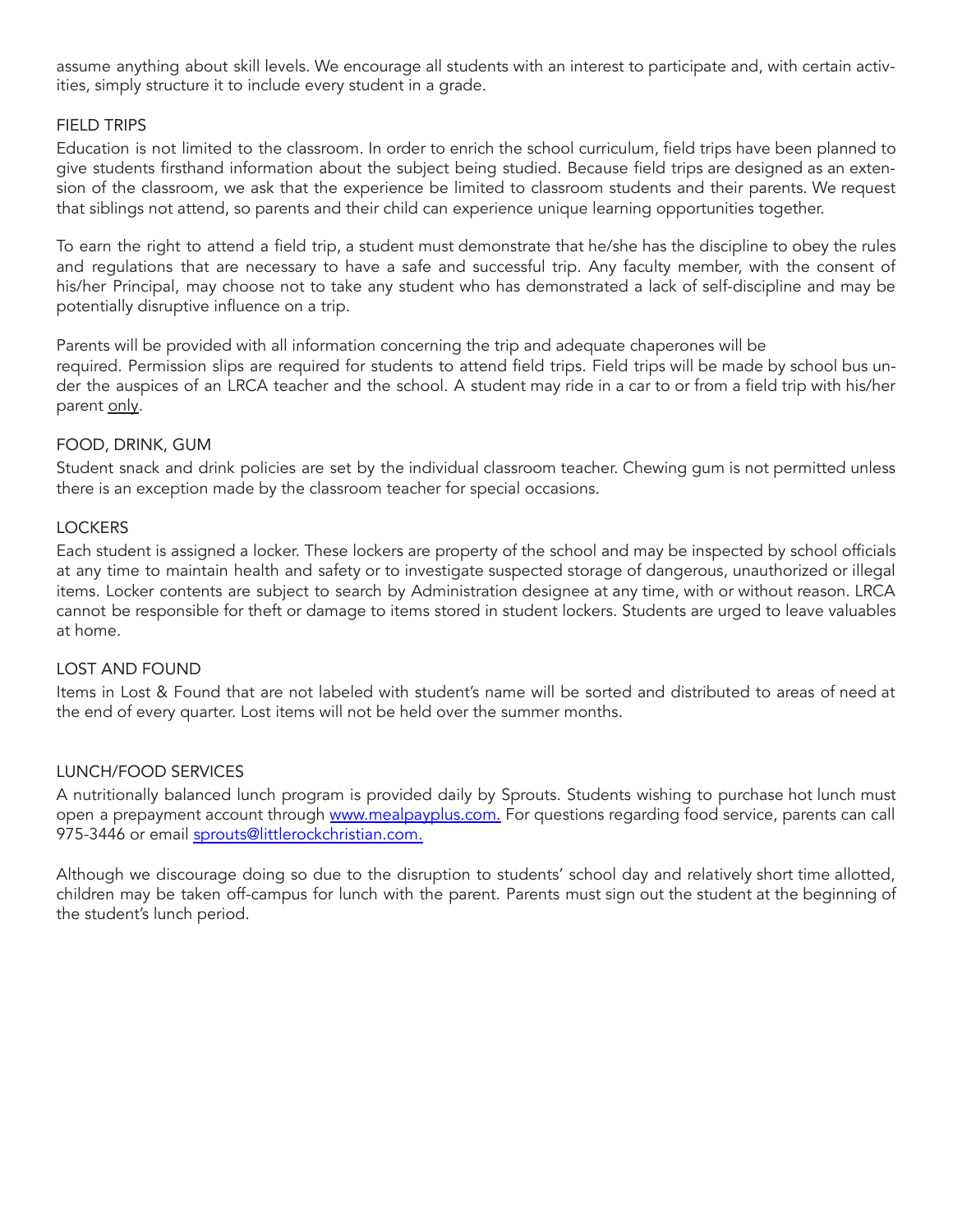assume anything about skill levels. We encourage all students with an interest to participate and, with certain activities, simply structure it to include every student in a grade.

# FIELD TRIPS

Education is not limited to the classroom. In order to enrich the school curriculum, field trips have been planned to give students firsthand information about the subject being studied. Because field trips are designed as an extension of the classroom, we ask that the experience be limited to classroom students and their parents. We request that siblings not attend, so parents and their child can experience unique learning opportunities together.

To earn the right to attend a field trip, a student must demonstrate that he/she has the discipline to obey the rules and regulations that are necessary to have a safe and successful trip. Any faculty member, with the consent of his/her Principal, may choose not to take any student who has demonstrated a lack of self-discipline and may be potentially disruptive influence on a trip.

Parents will be provided with all information concerning the trip and adequate chaperones will be required. Permission slips are required for students to attend field trips. Field trips will be made by school bus under the auspices of an LRCA teacher and the school. A student may ride in a car to or from a field trip with his/her parent only.

# FOOD, DRINK, GUM

Student snack and drink policies are set by the individual classroom teacher. Chewing gum is not permitted unless there is an exception made by the classroom teacher for special occasions.

# **LOCKERS**

Each student is assigned a locker. These lockers are property of the school and may be inspected by school officials at any time to maintain health and safety or to investigate suspected storage of dangerous, unauthorized or illegal items. Locker contents are subject to search by Administration designee at any time, with or without reason. LRCA cannot be responsible for theft or damage to items stored in student lockers. Students are urged to leave valuables at home.

#### LOST AND FOUND

Items in Lost & Found that are not labeled with student's name will be sorted and distributed to areas of need at the end of every quarter. Lost items will not be held over the summer months.

# LUNCH/FOOD SERVICES

A nutritionally balanced lunch program is provided daily by Sprouts. Students wishing to purchase hot lunch must open a prepayment account through [www.mealpayplus.com.](http://www.mealpayplus.com/) For questions regarding food service, parents can call 975-3446 or email [sprouts@littlerockchristian.com.](mailto:sprouts@littlerockchristian.com)

Although we discourage doing so due to the disruption to students' school day and relatively short time allotted, children may be taken off-campus for lunch with the parent. Parents must sign out the student at the beginning of the student's lunch period.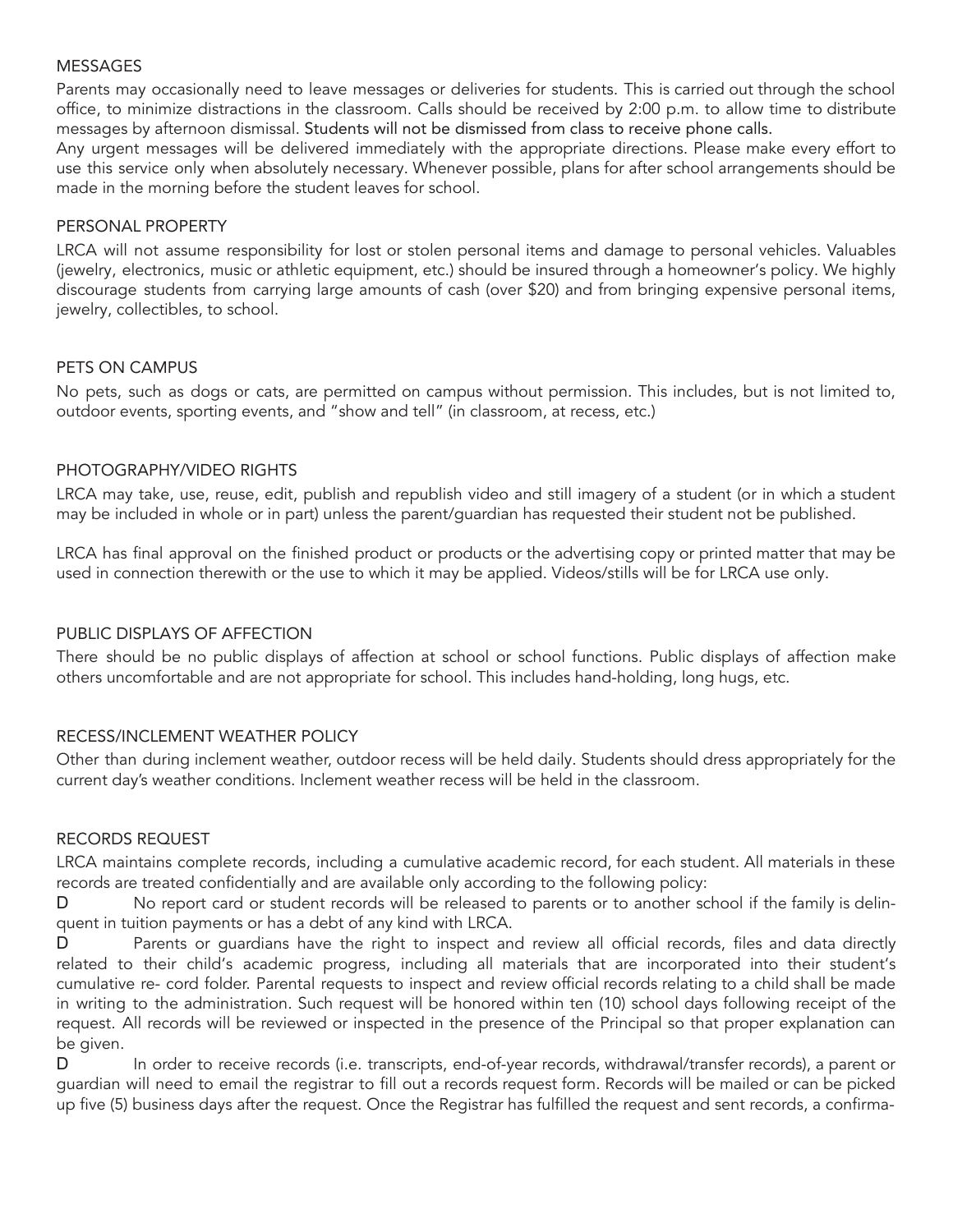#### MESSAGES

Parents may occasionally need to leave messages or deliveries for students. This is carried out through the school office, to minimize distractions in the classroom. Calls should be received by 2:00 p.m. to allow time to distribute messages by afternoon dismissal. Students will not be dismissed from class to receive phone calls.

Any urgent messages will be delivered immediately with the appropriate directions. Please make every effort to use this service only when absolutely necessary. Whenever possible, plans for after school arrangements should be made in the morning before the student leaves for school.

#### PERSONAL PROPERTY

LRCA will not assume responsibility for lost or stolen personal items and damage to personal vehicles. Valuables (jewelry, electronics, music or athletic equipment, etc.) should be insured through a homeowner's policy. We highly discourage students from carrying large amounts of cash (over \$20) and from bringing expensive personal items, jewelry, collectibles, to school.

#### PETS ON CAMPUS

No pets, such as dogs or cats, are permitted on campus without permission. This includes, but is not limited to, outdoor events, sporting events, and "show and tell" (in classroom, at recess, etc.)

#### PHOTOGRAPHY/VIDEO RIGHTS

LRCA may take, use, reuse, edit, publish and republish video and still imagery of a student (or in which a student may be included in whole or in part) unless the parent/guardian has requested their student not be published.

LRCA has final approval on the finished product or products or the advertising copy or printed matter that may be used in connection therewith or the use to which it may be applied. Videos/stills will be for LRCA use only.

# PUBLIC DISPLAYS OF AFFECTION

There should be no public displays of affection at school or school functions. Public displays of affection make others uncomfortable and are not appropriate for school. This includes hand-holding, long hugs, etc.

# RECESS/INCLEMENT WEATHER POLICY

Other than during inclement weather, outdoor recess will be held daily. Students should dress appropriately for the current day's weather conditions. Inclement weather recess will be held in the classroom.

#### RECORDS REQUEST

LRCA maintains complete records, including a cumulative academic record, for each student. All materials in these records are treated confidentially and are available only according to the following policy:

D No report card or student records will be released to parents or to another school if the family is delinquent in tuition payments or has a debt of any kind with LRCA.

D Parents or quardians have the right to inspect and review all official records, files and data directly related to their child's academic progress, including all materials that are incorporated into their student's cumulative re- cord folder. Parental requests to inspect and review official records relating to a child shall be made in writing to the administration. Such request will be honored within ten (10) school days following receipt of the request. All records will be reviewed or inspected in the presence of the Principal so that proper explanation can be given.

D In order to receive records (i.e. transcripts, end-of-year records, withdrawal/transfer records), a parent or guardian will need to email the registrar to fill out a records request form. Records will be mailed or can be picked up five (5) business days after the request. Once the Registrar has fulfilled the request and sent records, a confirma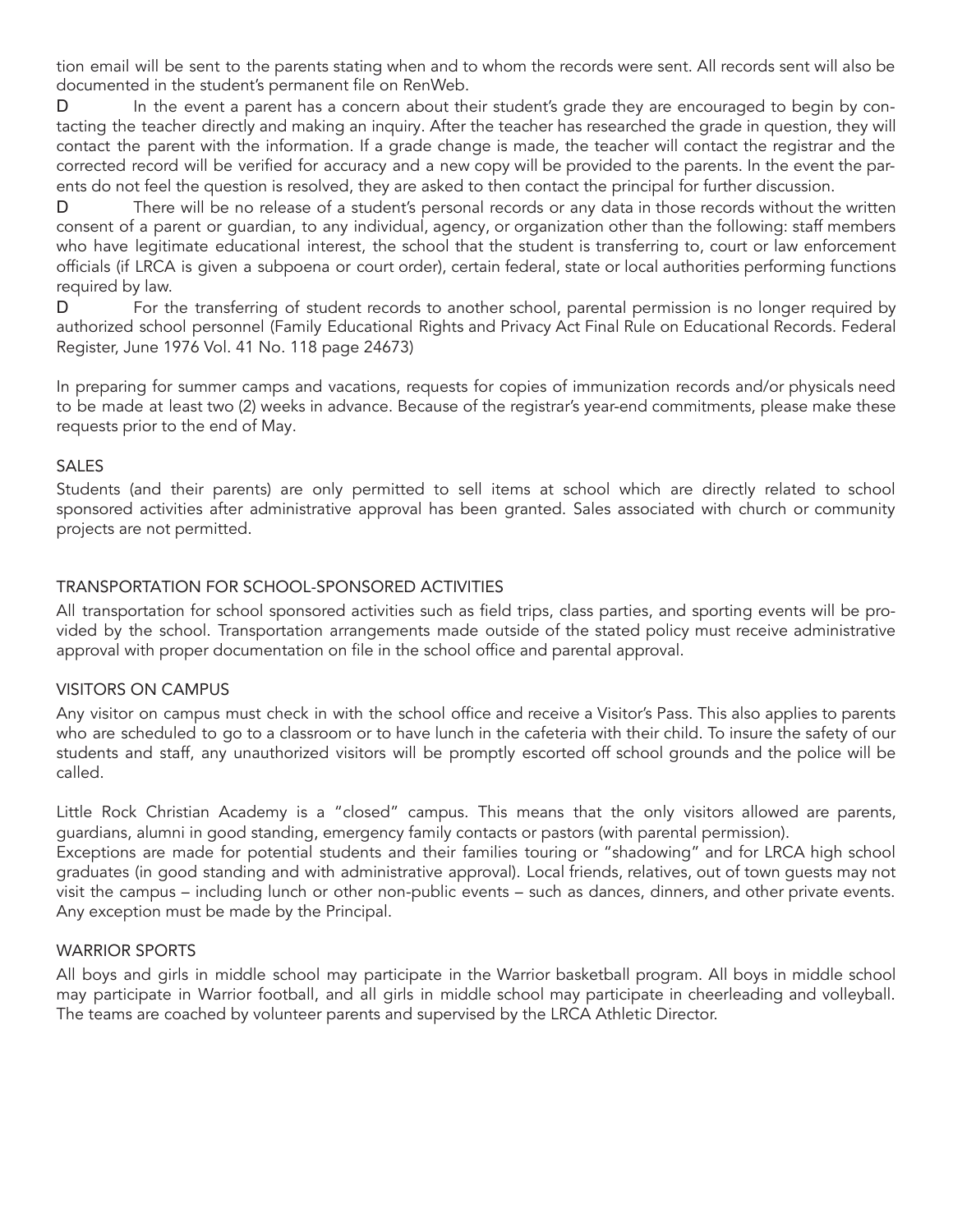tion email will be sent to the parents stating when and to whom the records were sent. All records sent will also be documented in the student's permanent file on RenWeb.

D In the event a parent has a concern about their student's grade they are encouraged to begin by contacting the teacher directly and making an inquiry. After the teacher has researched the grade in question, they will contact the parent with the information. If a grade change is made, the teacher will contact the registrar and the corrected record will be verified for accuracy and a new copy will be provided to the parents. In the event the parents do not feel the question is resolved, they are asked to then contact the principal for further discussion.

D There will be no release of a student's personal records or any data in those records without the written consent of a parent or guardian, to any individual, agency, or organization other than the following: staff members who have legitimate educational interest, the school that the student is transferring to, court or law enforcement officials (if LRCA is given a subpoena or court order), certain federal, state or local authorities performing functions required by law.

D For the transferring of student records to another school, parental permission is no longer required by authorized school personnel (Family Educational Rights and Privacy Act Final Rule on Educational Records. Federal Register, June 1976 Vol. 41 No. 118 page 24673)

In preparing for summer camps and vacations, requests for copies of immunization records and/or physicals need to be made at least two (2) weeks in advance. Because of the registrar's year-end commitments, please make these requests prior to the end of May.

#### SALES

Students (and their parents) are only permitted to sell items at school which are directly related to school sponsored activities after administrative approval has been granted. Sales associated with church or community projects are not permitted.

# TRANSPORTATION FOR SCHOOL-SPONSORED ACTIVITIES

All transportation for school sponsored activities such as field trips, class parties, and sporting events will be provided by the school. Transportation arrangements made outside of the stated policy must receive administrative approval with proper documentation on file in the school office and parental approval.

#### VISITORS ON CAMPUS

Any visitor on campus must check in with the school office and receive a Visitor's Pass. This also applies to parents who are scheduled to go to a classroom or to have lunch in the cafeteria with their child. To insure the safety of our students and staff, any unauthorized visitors will be promptly escorted off school grounds and the police will be called.

Little Rock Christian Academy is a "closed" campus. This means that the only visitors allowed are parents, guardians, alumni in good standing, emergency family contacts or pastors (with parental permission).

Exceptions are made for potential students and their families touring or "shadowing" and for LRCA high school graduates (in good standing and with administrative approval). Local friends, relatives, out of town guests may not visit the campus – including lunch or other non-public events – such as dances, dinners, and other private events. Any exception must be made by the Principal.

#### WARRIOR SPORTS

All boys and girls in middle school may participate in the Warrior basketball program. All boys in middle school may participate in Warrior football, and all girls in middle school may participate in cheerleading and volleyball. The teams are coached by volunteer parents and supervised by the LRCA Athletic Director.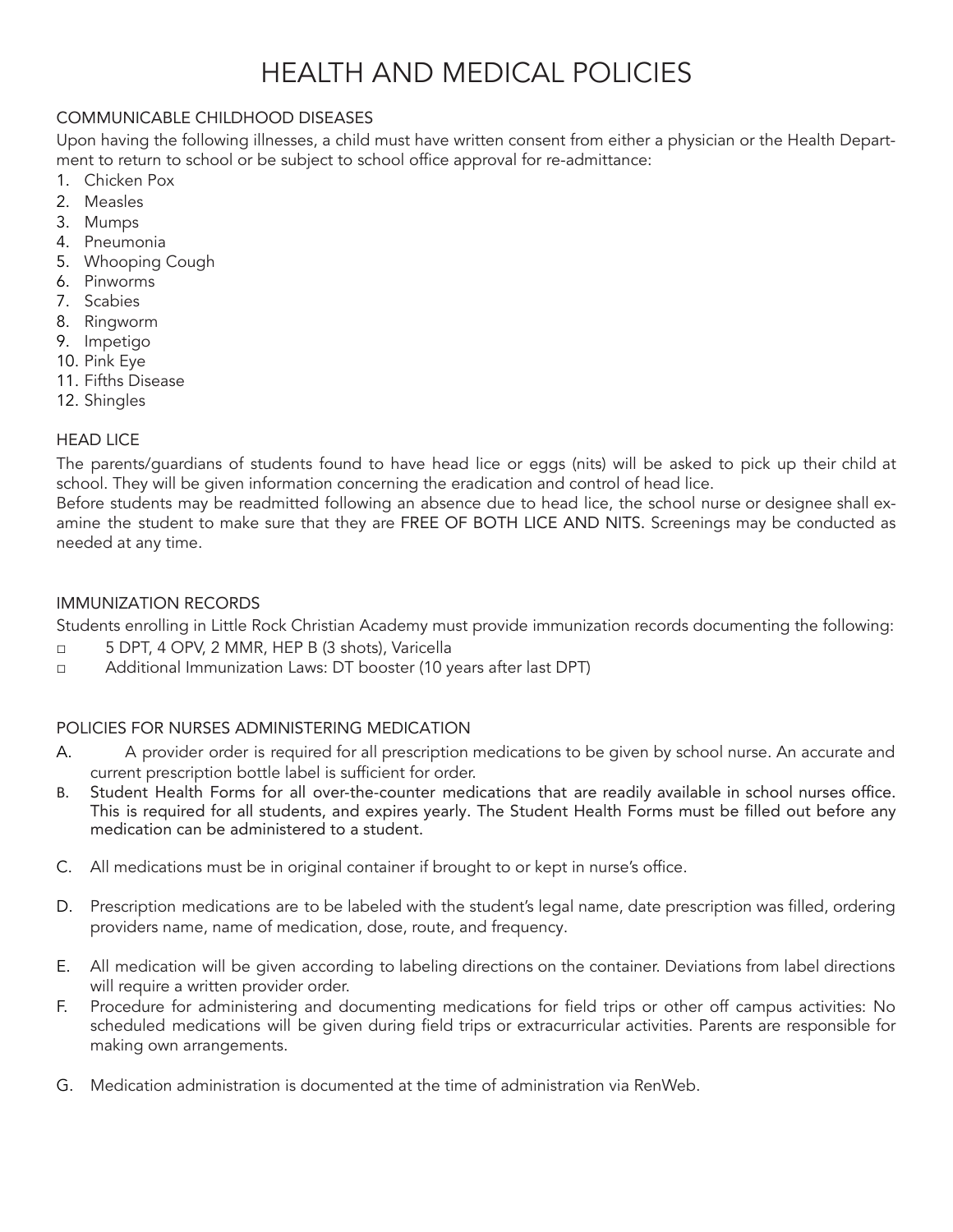# HEALTH AND MEDICAL POLICIES

# COMMUNICABLE CHILDHOOD DISEASES

Upon having the following illnesses, a child must have written consent from either a physician or the Health Department to return to school or be subject to school office approval for re-admittance:

- 1. Chicken Pox
- 2. Measles
- 3. Mumps
- 4. Pneumonia
- 5. Whooping Cough
- 6. Pinworms
- 7. Scabies
- 8. Ringworm
- 9. Impetigo
- 10. Pink Eye
- 11. Fifths Disease
- 12. Shingles

# HEAD LICE

The parents/guardians of students found to have head lice or eggs (nits) will be asked to pick up their child at school. They will be given information concerning the eradication and control of head lice.

Before students may be readmitted following an absence due to head lice, the school nurse or designee shall examine the student to make sure that they are FREE OF BOTH LICE AND NITS. Screenings may be conducted as needed at any time.

# IMMUNIZATION RECORDS

Students enrolling in Little Rock Christian Academy must provide immunization records documenting the following:

- □ 5 DPT, 4 OPV, 2 MMR, HEP B (3 shots), Varicella
- □ Additional Immunization Laws: DT booster (10 years after last DPT)

# POLICIES FOR NURSES ADMINISTERING MEDICATION

- A. A provider order is required for all prescription medications to be given by school nurse. An accurate and current prescription bottle label is sufficient for order.
- B. Student Health Forms for all over-the-counter medications that are readily available in school nurses office. This is required for all students, and expires yearly. The Student Health Forms must be filled out before any medication can be administered to a student.
- C. All medications must be in original container if brought to or kept in nurse's office.
- D. Prescription medications are to be labeled with the student's legal name, date prescription was filled, ordering providers name, name of medication, dose, route, and frequency.
- E. All medication will be given according to labeling directions on the container. Deviations from label directions will require a written provider order.
- F. Procedure for administering and documenting medications for field trips or other off campus activities: No scheduled medications will be given during field trips or extracurricular activities. Parents are responsible for making own arrangements.
- G. Medication administration is documented at the time of administration via RenWeb.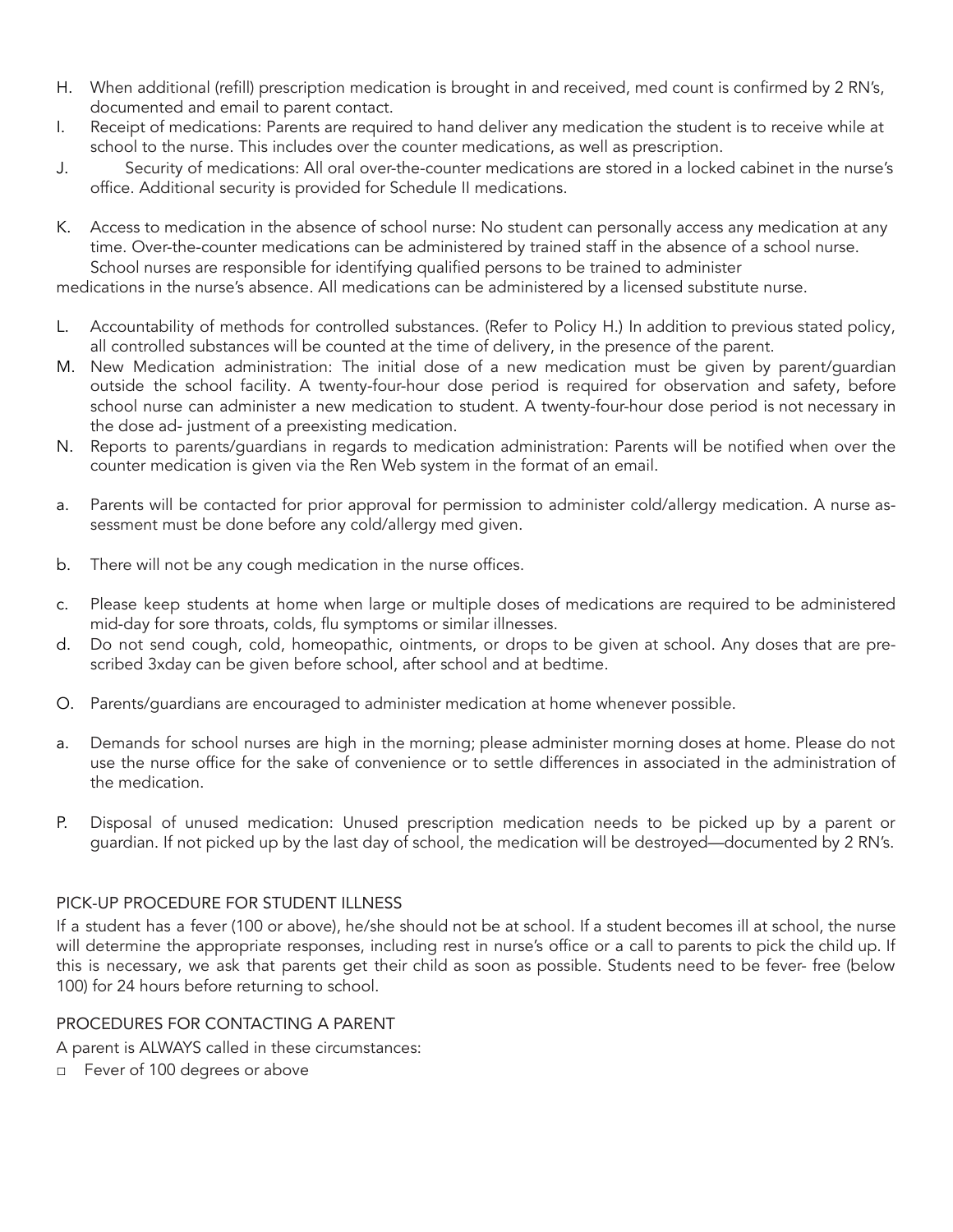- H. When additional (refill) prescription medication is brought in and received, med count is confirmed by 2 RN's, documented and email to parent contact.
- I. Receipt of medications: Parents are required to hand deliver any medication the student is to receive while at school to the nurse. This includes over the counter medications, as well as prescription.
- J. Security of medications: All oral over-the-counter medications are stored in a locked cabinet in the nurse's office. Additional security is provided for Schedule II medications.
- K. Access to medication in the absence of school nurse: No student can personally access any medication at any time. Over-the-counter medications can be administered by trained staff in the absence of a school nurse. School nurses are responsible for identifying qualified persons to be trained to administer

medications in the nurse's absence. All medications can be administered by a licensed substitute nurse.

- L. Accountability of methods for controlled substances. (Refer to Policy H.) In addition to previous stated policy, all controlled substances will be counted at the time of delivery, in the presence of the parent.
- M. New Medication administration: The initial dose of a new medication must be given by parent/guardian outside the school facility. A twenty-four-hour dose period is required for observation and safety, before school nurse can administer a new medication to student. A twenty-four-hour dose period is not necessary in the dose ad- justment of a preexisting medication.
- N. Reports to parents/guardians in regards to medication administration: Parents will be notified when over the counter medication is given via the Ren Web system in the format of an email.
- a. Parents will be contacted for prior approval for permission to administer cold/allergy medication. A nurse assessment must be done before any cold/allergy med given.
- b. There will not be any cough medication in the nurse offices.
- c. Please keep students at home when large or multiple doses of medications are required to be administered mid-day for sore throats, colds, flu symptoms or similar illnesses.
- d. Do not send cough, cold, homeopathic, ointments, or drops to be given at school. Any doses that are prescribed 3xday can be given before school, after school and at bedtime.
- O. Parents/guardians are encouraged to administer medication at home whenever possible.
- a. Demands for school nurses are high in the morning; please administer morning doses at home. Please do not use the nurse office for the sake of convenience or to settle differences in associated in the administration of the medication.
- P. Disposal of unused medication: Unused prescription medication needs to be picked up by a parent or guardian. If not picked up by the last day of school, the medication will be destroyed—documented by 2 RN's.

# PICK-UP PROCEDURE FOR STUDENT ILLNESS

If a student has a fever (100 or above), he/she should not be at school. If a student becomes ill at school, the nurse will determine the appropriate responses, including rest in nurse's office or a call to parents to pick the child up. If this is necessary, we ask that parents get their child as soon as possible. Students need to be fever- free (below 100) for 24 hours before returning to school.

#### PROCEDURES FOR CONTACTING A PARENT

A parent is ALWAYS called in these circumstances:

□ Fever of 100 degrees or above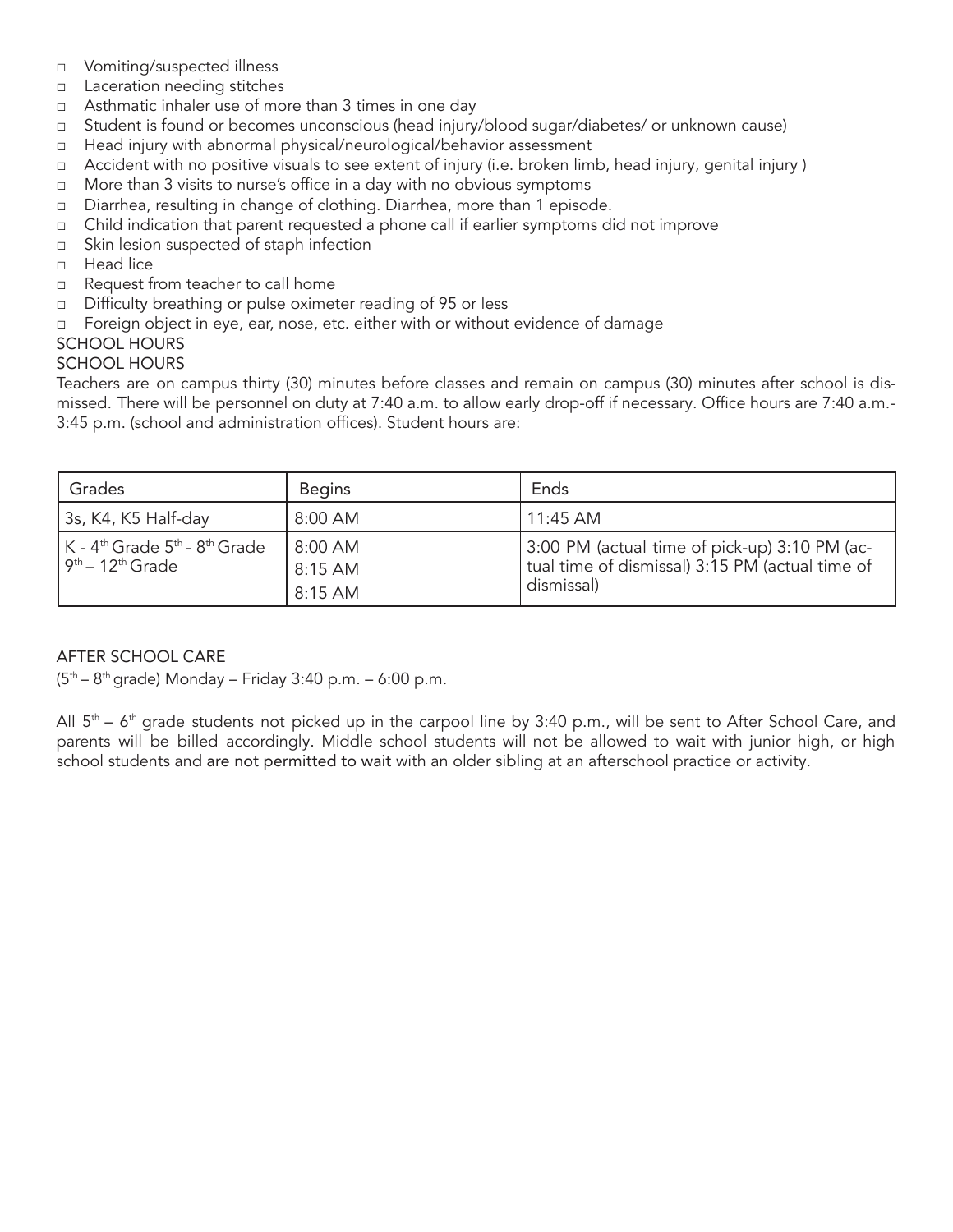- □ Vomiting/suspected illness
- □ Laceration needing stitches
- □ Asthmatic inhaler use of more than 3 times in one day
- □ Student is found or becomes unconscious (head injury/blood sugar/diabetes/ or unknown cause)
- □ Head injury with abnormal physical/neurological/behavior assessment
- □ Accident with no positive visuals to see extent of injury (i.e. broken limb, head injury, genital injury )
- □ More than 3 visits to nurse's office in a day with no obvious symptoms
- □ Diarrhea, resulting in change of clothing. Diarrhea, more than 1 episode.
- □ Child indication that parent requested a phone call if earlier symptoms did not improve
- □ Skin lesion suspected of staph infection
- □ Head lice
- □ Request from teacher to call home
- □ Difficulty breathing or pulse oximeter reading of 95 or less
- □ Foreign object in eye, ear, nose, etc. either with or without evidence of damage

# SCHOOL HOURS

#### SCHOOL HOURS

Teachers are on campus thirty (30) minutes before classes and remain on campus (30) minutes after school is dismissed. There will be personnel on duty at 7:40 a.m. to allow early drop-off if necessary. Office hours are 7:40 a.m.- 3:45 p.m. (school and administration offices). Student hours are:

| Grades                                                                                                                     | <b>Begins</b>                 | Ends                                                                                                           |
|----------------------------------------------------------------------------------------------------------------------------|-------------------------------|----------------------------------------------------------------------------------------------------------------|
| 3s, K4, K5 Half-day                                                                                                        | 8:00 AM                       | $11:45$ AM                                                                                                     |
| $\mathsf{K}$ - 4 <sup>th</sup> Grade 5 <sup>th</sup> - 8 <sup>th</sup> Grade<br>l 9 <sup>th</sup> – 12 <sup>th</sup> Grade | 8:00 AM<br>8:15 AM<br>8:15 AM | 3:00 PM (actual time of pick-up) 3:10 PM (ac-<br>tual time of dismissal) 3:15 PM (actual time of<br>dismissal) |

# AFTER SCHOOL CARE

(5 th – 8 th grade) Monday – Friday 3:40 p.m. – 6:00 p.m.

All  $5<sup>th</sup>$  – 6<sup>th</sup> grade students not picked up in the carpool line by 3:40 p.m., will be sent to After School Care, and parents will be billed accordingly. Middle school students will not be allowed to wait with junior high, or high school students and are not permitted to wait with an older sibling at an afterschool practice or activity.